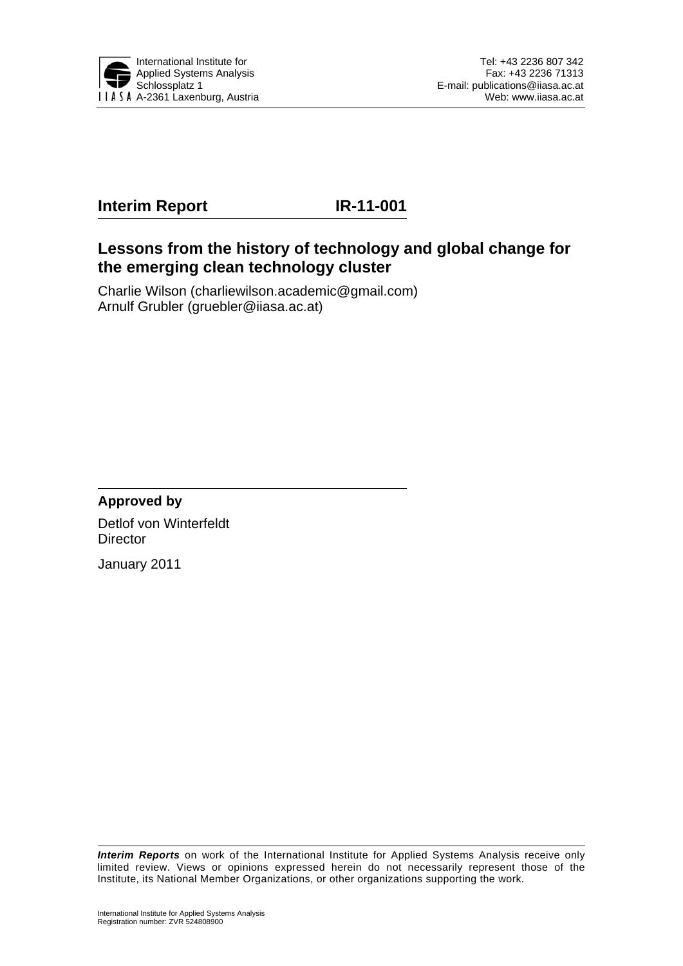

# **Interim Report IR-11-001**

# **Lessons from the history of technology and global change for the emerging clean technology cluster**

Charlie Wilson (charliewilson.academic@gmail.com) Arnulf Grubler (gruebler@iiasa.ac.at)

**Approved by**  Detlof von Winterfeldt **Director** 

January 2011

*Interim Reports* on work of the International Institute for Applied Systems Analysis receive only limited review. Views or opinions expressed herein do not necessarily represent those of the Institute, its National Member Organizations, or other organizations supporting the work.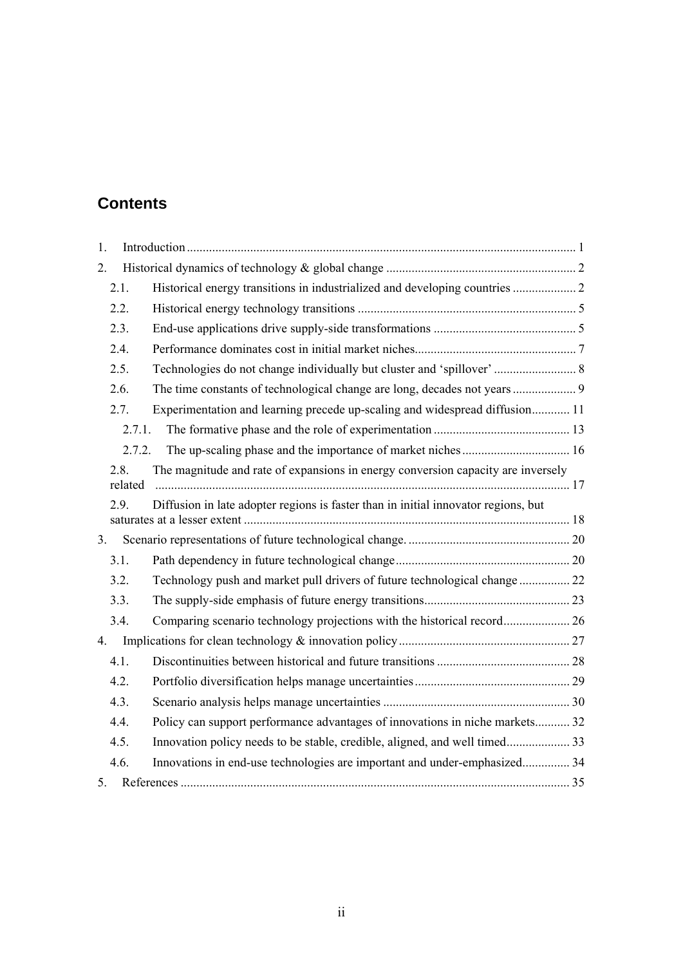# **Contents**

| 1.             |         |                                                                                    |  |
|----------------|---------|------------------------------------------------------------------------------------|--|
| 2.             |         |                                                                                    |  |
| 2.1.           |         | Historical energy transitions in industrialized and developing countries  2        |  |
| 2.2.           |         |                                                                                    |  |
| 2.3.           |         |                                                                                    |  |
| 2.4.           |         |                                                                                    |  |
| 2.5.           |         |                                                                                    |  |
| 2.6.           |         |                                                                                    |  |
| 2.7.           |         | Experimentation and learning precede up-scaling and widespread diffusion 11        |  |
|                | 2.7.1.  |                                                                                    |  |
|                | 2.7.2.  |                                                                                    |  |
| 2.8.           | related | The magnitude and rate of expansions in energy conversion capacity are inversely   |  |
| 2.9.           |         | Diffusion in late adopter regions is faster than in initial innovator regions, but |  |
| 3 <sub>1</sub> |         |                                                                                    |  |
| 3.1.           |         |                                                                                    |  |
| 3.2.           |         | Technology push and market pull drivers of future technological change  22         |  |
| 3.3.           |         |                                                                                    |  |
| 3.4.           |         |                                                                                    |  |
| 4.             |         |                                                                                    |  |
| 4.1.           |         |                                                                                    |  |
| 4.2.           |         |                                                                                    |  |
| 4.3.           |         |                                                                                    |  |
| 4.4.           |         | Policy can support performance advantages of innovations in niche markets 32       |  |
| 4.5.           |         |                                                                                    |  |
| 4.6.           |         | Innovations in end-use technologies are important and under-emphasized 34          |  |
| 5.             |         |                                                                                    |  |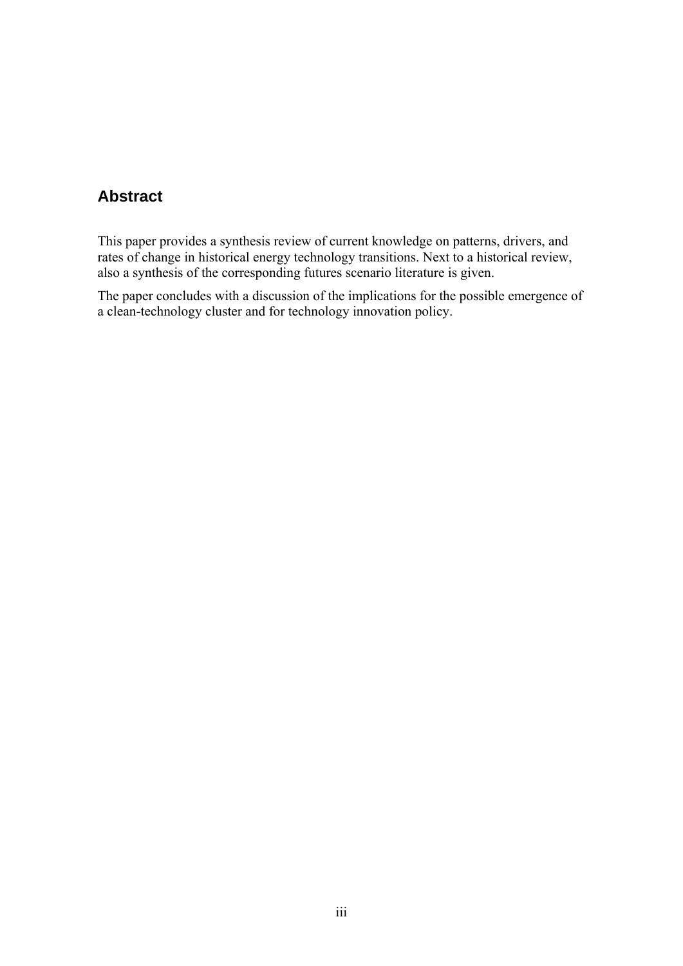# **Abstract**

This paper provides a synthesis review of current knowledge on patterns, drivers, and rates of change in historical energy technology transitions. Next to a historical review, also a synthesis of the corresponding futures scenario literature is given.

The paper concludes with a discussion of the implications for the possible emergence of a clean-technology cluster and for technology innovation policy.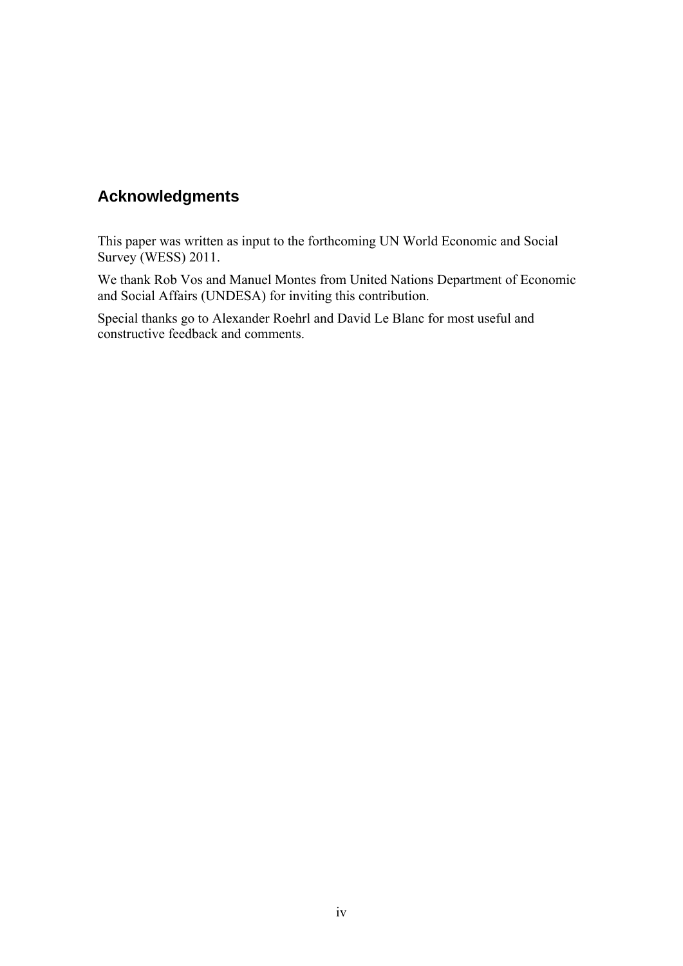# **Acknowledgments**

This paper was written as input to the forthcoming UN World Economic and Social Survey (WESS) 2011.

We thank Rob Vos and Manuel Montes from United Nations Department of Economic and Social Affairs (UNDESA) for inviting this contribution.

Special thanks go to Alexander Roehrl and David Le Blanc for most useful and constructive feedback and comments.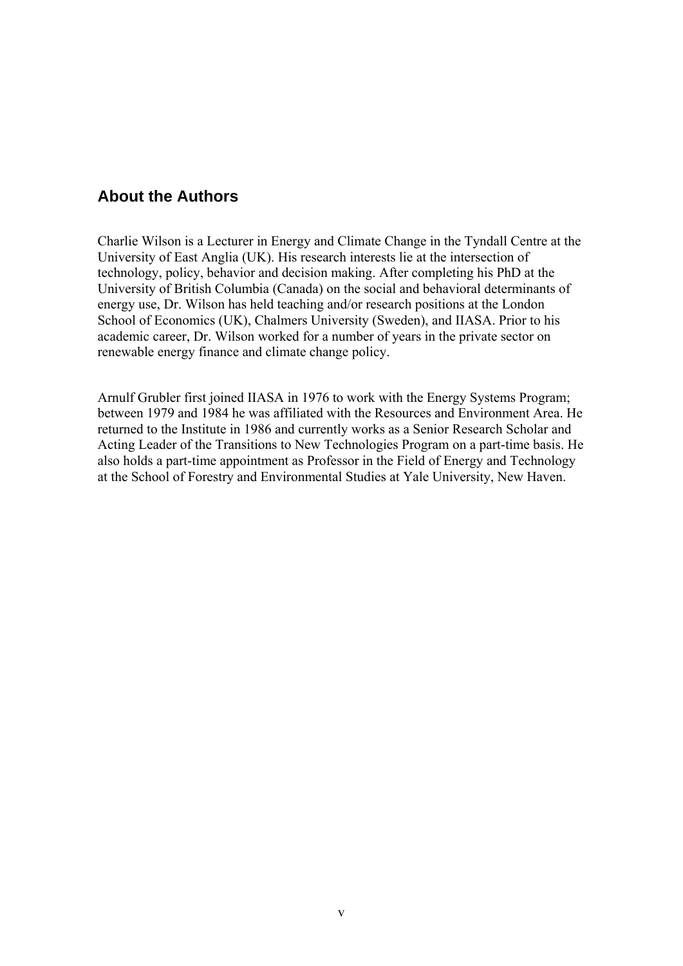# **About the Authors**

Charlie Wilson is a Lecturer in Energy and Climate Change in the Tyndall Centre at the University of East Anglia (UK). His research interests lie at the intersection of technology, policy, behavior and decision making. After completing his PhD at the University of British Columbia (Canada) on the social and behavioral determinants of energy use, Dr. Wilson has held teaching and/or research positions at the London School of Economics (UK), Chalmers University (Sweden), and IIASA. Prior to his academic career, Dr. Wilson worked for a number of years in the private sector on renewable energy finance and climate change policy.

Arnulf Grubler first joined IIASA in 1976 to work with the Energy Systems Program; between 1979 and 1984 he was affiliated with the Resources and Environment Area. He returned to the Institute in 1986 and currently works as a Senior Research Scholar and Acting Leader of the Transitions to New Technologies Program on a part-time basis. He also holds a part-time appointment as Professor in the Field of Energy and Technology at the School of Forestry and Environmental Studies at Yale University, New Haven.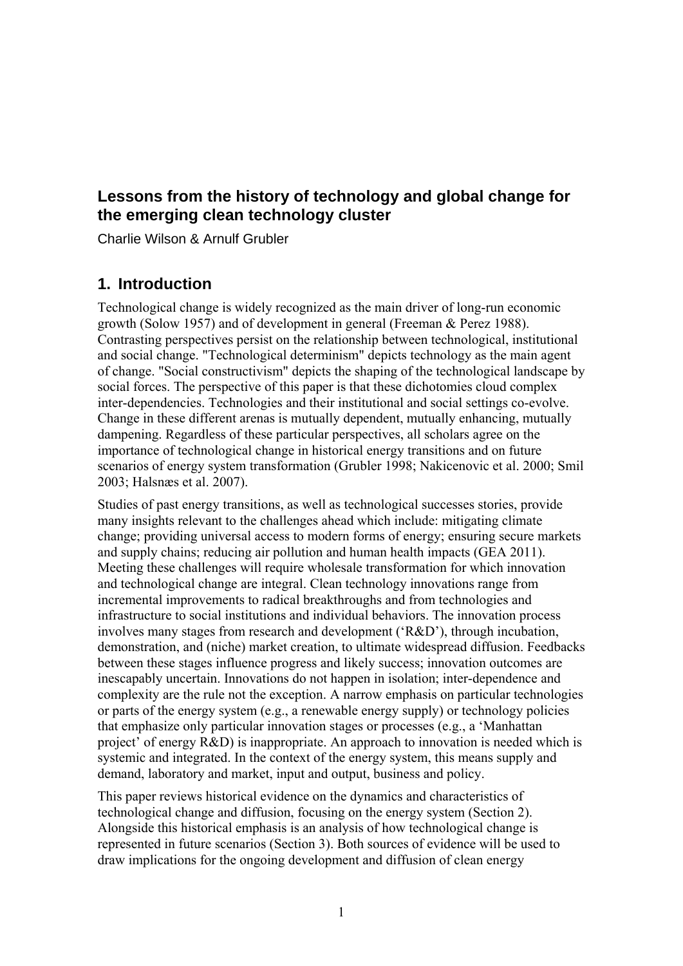# **Lessons from the history of technology and global change for the emerging clean technology cluster**

Charlie Wilson & Arnulf Grubler

# **1. Introduction**

Technological change is widely recognized as the main driver of long-run economic growth (Solow 1957) and of development in general (Freeman & Perez 1988). Contrasting perspectives persist on the relationship between technological, institutional and social change. "Technological determinism" depicts technology as the main agent of change. "Social constructivism" depicts the shaping of the technological landscape by social forces. The perspective of this paper is that these dichotomies cloud complex inter-dependencies. Technologies and their institutional and social settings co-evolve. Change in these different arenas is mutually dependent, mutually enhancing, mutually dampening. Regardless of these particular perspectives, all scholars agree on the importance of technological change in historical energy transitions and on future scenarios of energy system transformation (Grubler 1998; Nakicenovic et al. 2000; Smil 2003; Halsnæs et al. 2007).

Studies of past energy transitions, as well as technological successes stories, provide many insights relevant to the challenges ahead which include: mitigating climate change; providing universal access to modern forms of energy; ensuring secure markets and supply chains; reducing air pollution and human health impacts (GEA 2011). Meeting these challenges will require wholesale transformation for which innovation and technological change are integral. Clean technology innovations range from incremental improvements to radical breakthroughs and from technologies and infrastructure to social institutions and individual behaviors. The innovation process involves many stages from research and development ('R&D'), through incubation, demonstration, and (niche) market creation, to ultimate widespread diffusion. Feedbacks between these stages influence progress and likely success; innovation outcomes are inescapably uncertain. Innovations do not happen in isolation; inter-dependence and complexity are the rule not the exception. A narrow emphasis on particular technologies or parts of the energy system (e.g., a renewable energy supply) or technology policies that emphasize only particular innovation stages or processes (e.g., a 'Manhattan project' of energy R&D) is inappropriate. An approach to innovation is needed which is systemic and integrated. In the context of the energy system, this means supply and demand, laboratory and market, input and output, business and policy.

This paper reviews historical evidence on the dynamics and characteristics of technological change and diffusion, focusing on the energy system (Section 2). Alongside this historical emphasis is an analysis of how technological change is represented in future scenarios (Section 3). Both sources of evidence will be used to draw implications for the ongoing development and diffusion of clean energy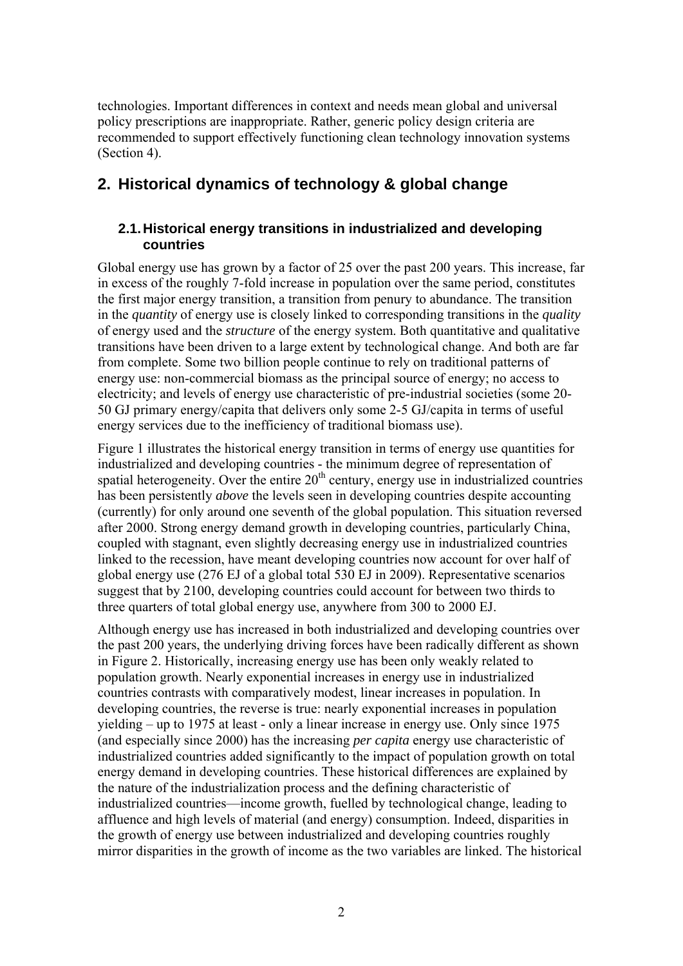technologies. Important differences in context and needs mean global and universal policy prescriptions are inappropriate. Rather, generic policy design criteria are recommended to support effectively functioning clean technology innovation systems (Section 4).

# **2. Historical dynamics of technology & global change**

# **2.1. Historical energy transitions in industrialized and developing countries**

Global energy use has grown by a factor of 25 over the past 200 years. This increase, far in excess of the roughly 7-fold increase in population over the same period, constitutes the first major energy transition, a transition from penury to abundance. The transition in the *quantity* of energy use is closely linked to corresponding transitions in the *quality* of energy used and the *structure* of the energy system. Both quantitative and qualitative transitions have been driven to a large extent by technological change. And both are far from complete. Some two billion people continue to rely on traditional patterns of energy use: non-commercial biomass as the principal source of energy; no access to electricity; and levels of energy use characteristic of pre-industrial societies (some 20- 50 GJ primary energy/capita that delivers only some 2-5 GJ/capita in terms of useful energy services due to the inefficiency of traditional biomass use).

Figure 1 illustrates the historical energy transition in terms of energy use quantities for industrialized and developing countries - the minimum degree of representation of spatial heterogeneity. Over the entire  $20<sup>th</sup>$  century, energy use in industrialized countries has been persistently *above* the levels seen in developing countries despite accounting (currently) for only around one seventh of the global population. This situation reversed after 2000. Strong energy demand growth in developing countries, particularly China, coupled with stagnant, even slightly decreasing energy use in industrialized countries linked to the recession, have meant developing countries now account for over half of global energy use (276 EJ of a global total 530 EJ in 2009). Representative scenarios suggest that by 2100, developing countries could account for between two thirds to three quarters of total global energy use, anywhere from 300 to 2000 EJ.

Although energy use has increased in both industrialized and developing countries over the past 200 years, the underlying driving forces have been radically different as shown in Figure 2. Historically, increasing energy use has been only weakly related to population growth. Nearly exponential increases in energy use in industrialized countries contrasts with comparatively modest, linear increases in population. In developing countries, the reverse is true: nearly exponential increases in population yielding – up to 1975 at least - only a linear increase in energy use. Only since 1975 (and especially since 2000) has the increasing *per capita* energy use characteristic of industrialized countries added significantly to the impact of population growth on total energy demand in developing countries. These historical differences are explained by the nature of the industrialization process and the defining characteristic of industrialized countries—income growth, fuelled by technological change, leading to affluence and high levels of material (and energy) consumption. Indeed, disparities in the growth of energy use between industrialized and developing countries roughly mirror disparities in the growth of income as the two variables are linked. The historical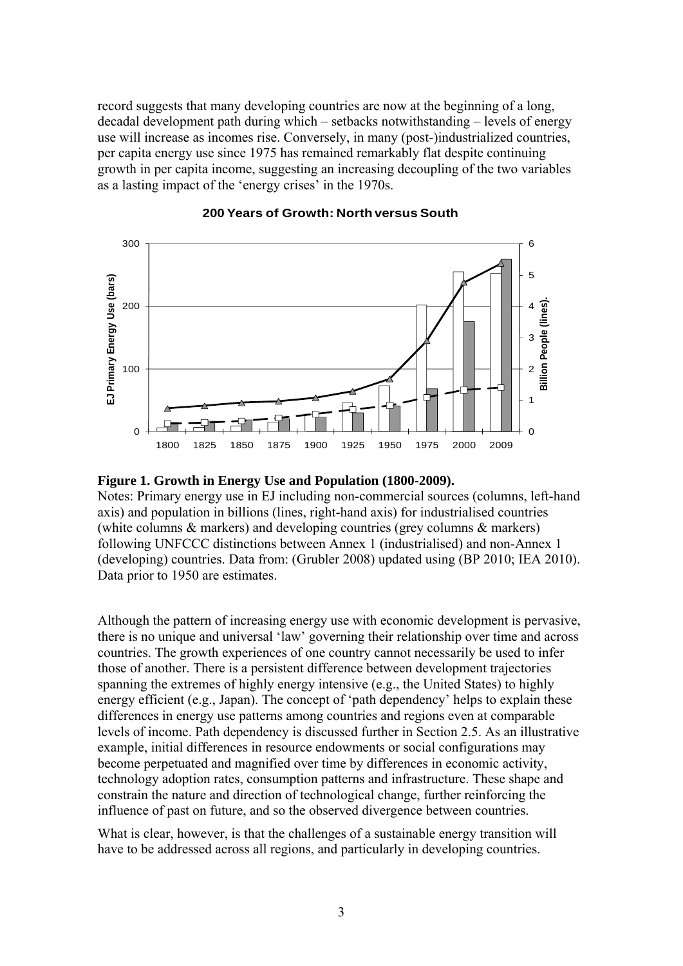record suggests that many developing countries are now at the beginning of a long, decadal development path during which – setbacks notwithstanding – levels of energy use will increase as incomes rise. Conversely, in many (post-)industrialized countries, per capita energy use since 1975 has remained remarkably flat despite continuing growth in per capita income, suggesting an increasing decoupling of the two variables as a lasting impact of the 'energy crises' in the 1970s.



#### **200 Years of Growth: North versus South**

#### **Figure 1. Growth in Energy Use and Population (1800-2009).**

Notes: Primary energy use in EJ including non-commercial sources (columns, left-hand axis) and population in billions (lines, right-hand axis) for industrialised countries (white columns & markers) and developing countries (grey columns & markers) following UNFCCC distinctions between Annex 1 (industrialised) and non-Annex 1 (developing) countries. Data from: (Grubler 2008) updated using (BP 2010; IEA 2010). Data prior to 1950 are estimates.

Although the pattern of increasing energy use with economic development is pervasive, there is no unique and universal 'law' governing their relationship over time and across countries. The growth experiences of one country cannot necessarily be used to infer those of another. There is a persistent difference between development trajectories spanning the extremes of highly energy intensive (e.g., the United States) to highly energy efficient (e.g., Japan). The concept of 'path dependency' helps to explain these differences in energy use patterns among countries and regions even at comparable levels of income. Path dependency is discussed further in Section 2.5. As an illustrative example, initial differences in resource endowments or social configurations may become perpetuated and magnified over time by differences in economic activity, technology adoption rates, consumption patterns and infrastructure. These shape and constrain the nature and direction of technological change, further reinforcing the influence of past on future, and so the observed divergence between countries.

What is clear, however, is that the challenges of a sustainable energy transition will have to be addressed across all regions, and particularly in developing countries.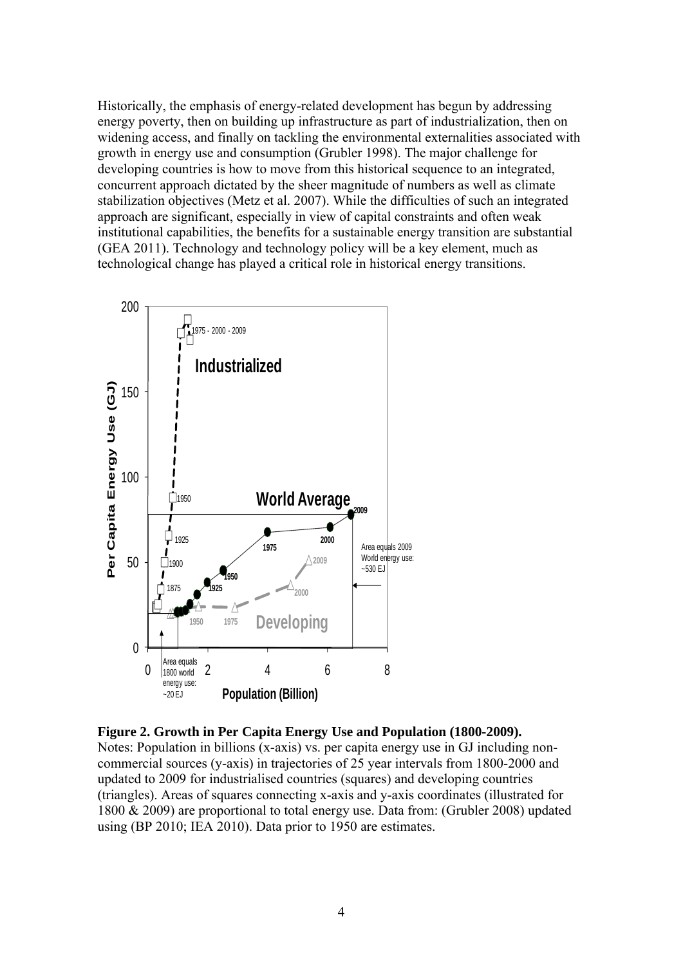Historically, the emphasis of energy-related development has begun by addressing energy poverty, then on building up infrastructure as part of industrialization, then on widening access, and finally on tackling the environmental externalities associated with growth in energy use and consumption (Grubler 1998). The major challenge for developing countries is how to move from this historical sequence to an integrated, concurrent approach dictated by the sheer magnitude of numbers as well as climate stabilization objectives (Metz et al. 2007). While the difficulties of such an integrated approach are significant, especially in view of capital constraints and often weak institutional capabilities, the benefits for a sustainable energy transition are substantial (GEA 2011). Technology and technology policy will be a key element, much as technological change has played a critical role in historical energy transitions.



**Figure 2. Growth in Per Capita Energy Use and Population (1800-2009).**  Notes: Population in billions (x-axis) vs. per capita energy use in GJ including noncommercial sources (y-axis) in trajectories of 25 year intervals from 1800-2000 and updated to 2009 for industrialised countries (squares) and developing countries (triangles). Areas of squares connecting x-axis and y-axis coordinates (illustrated for 1800 & 2009) are proportional to total energy use. Data from: (Grubler 2008) updated using (BP 2010; IEA 2010). Data prior to 1950 are estimates.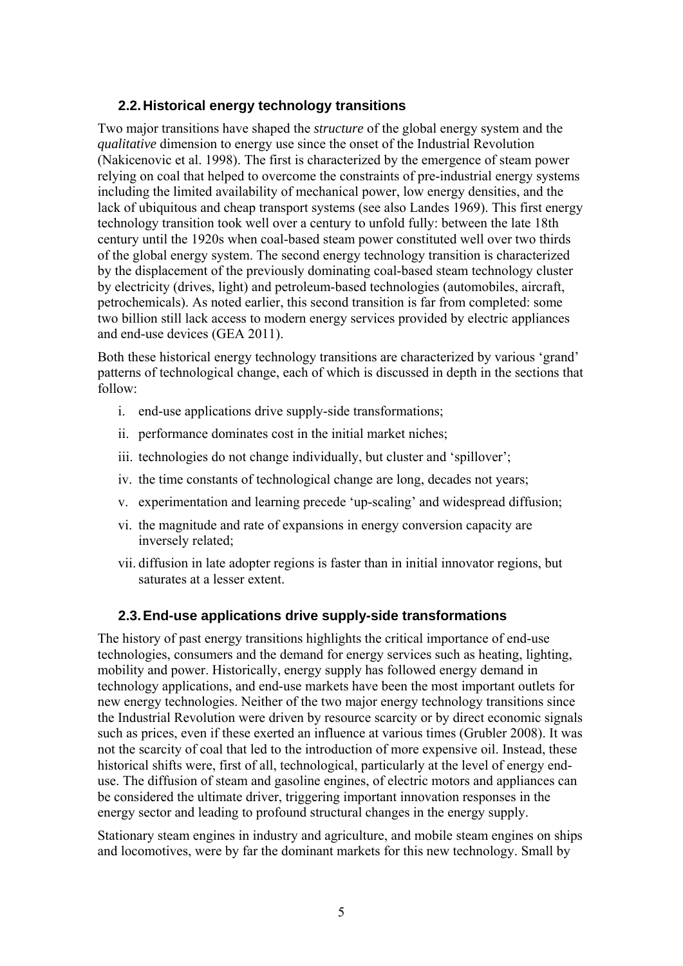# **2.2. Historical energy technology transitions**

Two major transitions have shaped the *structure* of the global energy system and the *qualitative* dimension to energy use since the onset of the Industrial Revolution (Nakicenovic et al. 1998). The first is characterized by the emergence of steam power relying on coal that helped to overcome the constraints of pre-industrial energy systems including the limited availability of mechanical power, low energy densities, and the lack of ubiquitous and cheap transport systems (see also Landes 1969). This first energy technology transition took well over a century to unfold fully: between the late 18th century until the 1920s when coal-based steam power constituted well over two thirds of the global energy system. The second energy technology transition is characterized by the displacement of the previously dominating coal-based steam technology cluster by electricity (drives, light) and petroleum-based technologies (automobiles, aircraft, petrochemicals). As noted earlier, this second transition is far from completed: some two billion still lack access to modern energy services provided by electric appliances and end-use devices (GEA 2011).

Both these historical energy technology transitions are characterized by various 'grand' patterns of technological change, each of which is discussed in depth in the sections that follow:

- i. end-use applications drive supply-side transformations;
- ii. performance dominates cost in the initial market niches;
- iii. technologies do not change individually, but cluster and 'spillover';
- iv. the time constants of technological change are long, decades not years;
- v. experimentation and learning precede 'up-scaling' and widespread diffusion;
- vi. the magnitude and rate of expansions in energy conversion capacity are inversely related;
- vii. diffusion in late adopter regions is faster than in initial innovator regions, but saturates at a lesser extent.

# **2.3. End-use applications drive supply-side transformations**

The history of past energy transitions highlights the critical importance of end-use technologies, consumers and the demand for energy services such as heating, lighting, mobility and power. Historically, energy supply has followed energy demand in technology applications, and end-use markets have been the most important outlets for new energy technologies. Neither of the two major energy technology transitions since the Industrial Revolution were driven by resource scarcity or by direct economic signals such as prices, even if these exerted an influence at various times (Grubler 2008). It was not the scarcity of coal that led to the introduction of more expensive oil. Instead, these historical shifts were, first of all, technological, particularly at the level of energy enduse. The diffusion of steam and gasoline engines, of electric motors and appliances can be considered the ultimate driver, triggering important innovation responses in the energy sector and leading to profound structural changes in the energy supply.

Stationary steam engines in industry and agriculture, and mobile steam engines on ships and locomotives, were by far the dominant markets for this new technology. Small by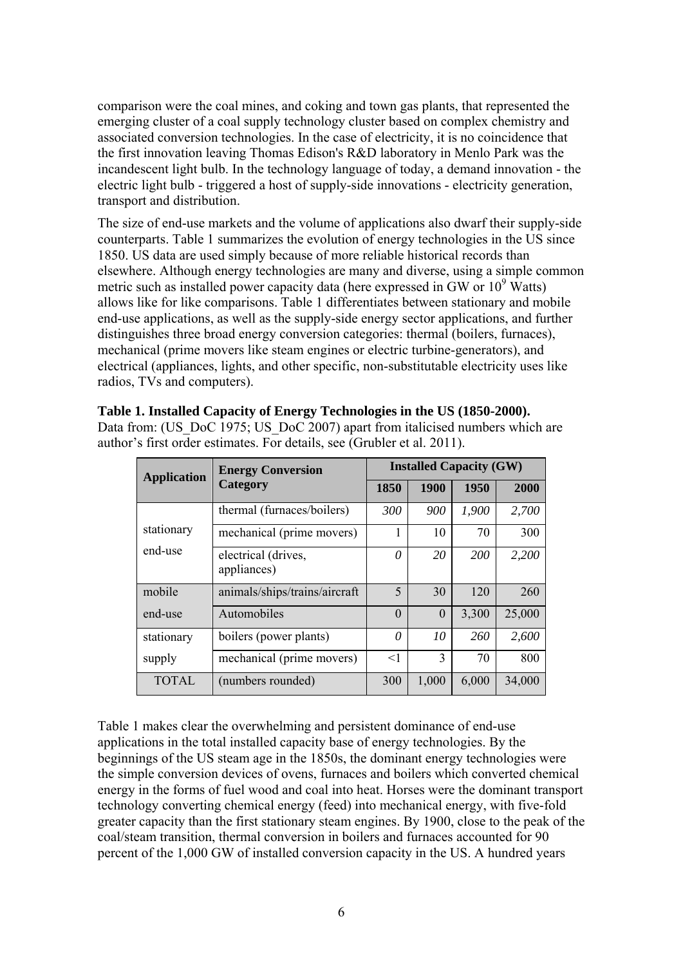comparison were the coal mines, and coking and town gas plants, that represented the emerging cluster of a coal supply technology cluster based on complex chemistry and associated conversion technologies. In the case of electricity, it is no coincidence that the first innovation leaving Thomas Edison's R&D laboratory in Menlo Park was the incandescent light bulb. In the technology language of today, a demand innovation - the electric light bulb - triggered a host of supply-side innovations - electricity generation, transport and distribution.

The size of end-use markets and the volume of applications also dwarf their supply-side counterparts. Table 1 summarizes the evolution of energy technologies in the US since 1850. US data are used simply because of more reliable historical records than elsewhere. Although energy technologies are many and diverse, using a simple common metric such as installed power capacity data (here expressed in GW or  $10^9$  Watts) allows like for like comparisons. Table 1 differentiates between stationary and mobile end-use applications, as well as the supply-side energy sector applications, and further distinguishes three broad energy conversion categories: thermal (boilers, furnaces), mechanical (prime movers like steam engines or electric turbine-generators), and electrical (appliances, lights, and other specific, non-substitutable electricity uses like radios, TVs and computers).

| <b>Application</b>                | <b>Energy Conversion</b>           | <b>Installed Capacity (GW)</b> |          |            |        |
|-----------------------------------|------------------------------------|--------------------------------|----------|------------|--------|
|                                   | Category                           | 1850                           | 1900     | 1950       | 2000   |
|                                   | thermal (furnaces/boilers)         | 300                            | 900      | 1,900      | 2,700  |
| stationary                        | mechanical (prime movers)          | 1                              | 10       | 70         | 300    |
| end-use                           | electrical (drives,<br>appliances) | 0                              | 20       | <b>200</b> | 2,200  |
| mobile                            | animals/ships/trains/aircraft      | 5                              | 30       | 120        | 260    |
| end-use                           | Automobiles                        | $\theta$                       | $\theta$ | 3,300      | 25,000 |
| stationary                        | boilers (power plants)             | 0                              | 10       | 260        | 2,600  |
| supply                            | mechanical (prime movers)          | $\leq$ 1                       | 3        | 70         | 800    |
| <b>TOTAL</b><br>(numbers rounded) |                                    | 300                            | 1,000    | 6,000      | 34,000 |

**Table 1. Installed Capacity of Energy Technologies in the US (1850-2000).** 

Data from: (US\_DoC 1975; US\_DoC 2007) apart from italicised numbers which are author's first order estimates. For details, see (Grubler et al. 2011).

Table 1 makes clear the overwhelming and persistent dominance of end-use applications in the total installed capacity base of energy technologies. By the beginnings of the US steam age in the 1850s, the dominant energy technologies were the simple conversion devices of ovens, furnaces and boilers which converted chemical energy in the forms of fuel wood and coal into heat. Horses were the dominant transport technology converting chemical energy (feed) into mechanical energy, with five-fold greater capacity than the first stationary steam engines. By 1900, close to the peak of the coal/steam transition, thermal conversion in boilers and furnaces accounted for 90 percent of the 1,000 GW of installed conversion capacity in the US. A hundred years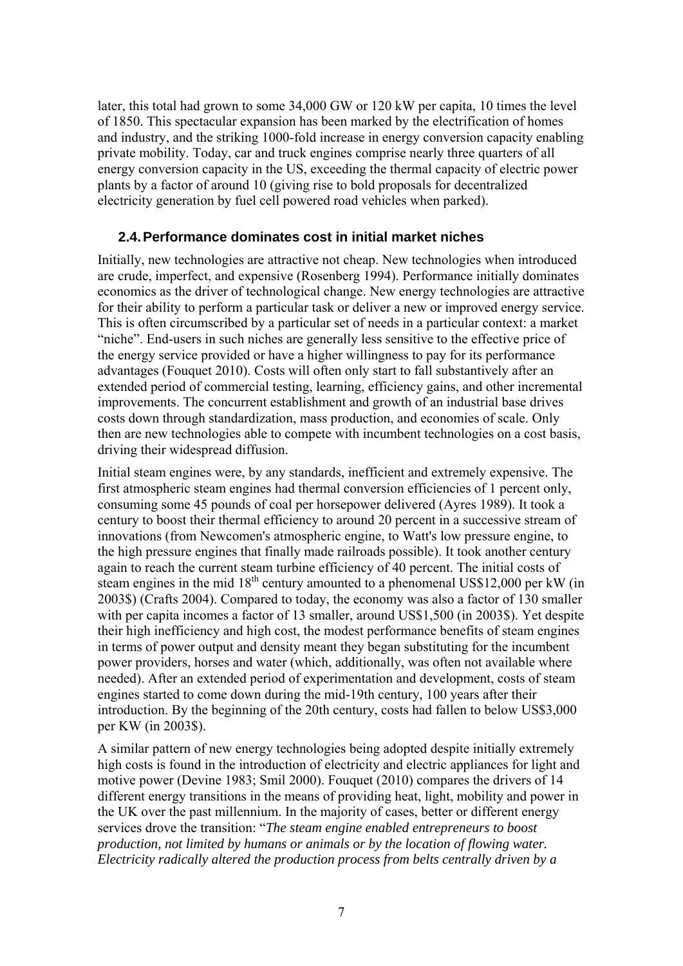later, this total had grown to some 34,000 GW or 120 kW per capita, 10 times the level of 1850. This spectacular expansion has been marked by the electrification of homes and industry, and the striking 1000-fold increase in energy conversion capacity enabling private mobility. Today, car and truck engines comprise nearly three quarters of all energy conversion capacity in the US, exceeding the thermal capacity of electric power plants by a factor of around 10 (giving rise to bold proposals for decentralized electricity generation by fuel cell powered road vehicles when parked).

## **2.4. Performance dominates cost in initial market niches**

Initially, new technologies are attractive not cheap. New technologies when introduced are crude, imperfect, and expensive (Rosenberg 1994). Performance initially dominates economics as the driver of technological change. New energy technologies are attractive for their ability to perform a particular task or deliver a new or improved energy service. This is often circumscribed by a particular set of needs in a particular context: a market "niche". End-users in such niches are generally less sensitive to the effective price of the energy service provided or have a higher willingness to pay for its performance advantages (Fouquet 2010). Costs will often only start to fall substantively after an extended period of commercial testing, learning, efficiency gains, and other incremental improvements. The concurrent establishment and growth of an industrial base drives costs down through standardization, mass production, and economies of scale. Only then are new technologies able to compete with incumbent technologies on a cost basis, driving their widespread diffusion.

Initial steam engines were, by any standards, inefficient and extremely expensive. The first atmospheric steam engines had thermal conversion efficiencies of 1 percent only, consuming some 45 pounds of coal per horsepower delivered (Ayres 1989). It took a century to boost their thermal efficiency to around 20 percent in a successive stream of innovations (from Newcomen's atmospheric engine, to Watt's low pressure engine, to the high pressure engines that finally made railroads possible). It took another century again to reach the current steam turbine efficiency of 40 percent. The initial costs of steam engines in the mid  $18<sup>th</sup>$  century amounted to a phenomenal US\$12,000 per kW (in 2003\$) (Crafts 2004). Compared to today, the economy was also a factor of 130 smaller with per capita incomes a factor of 13 smaller, around US\$1,500 (in 2003\$). Yet despite their high inefficiency and high cost, the modest performance benefits of steam engines in terms of power output and density meant they began substituting for the incumbent power providers, horses and water (which, additionally, was often not available where needed). After an extended period of experimentation and development, costs of steam engines started to come down during the mid-19th century, 100 years after their introduction. By the beginning of the 20th century, costs had fallen to below US\$3,000 per KW (in 2003\$).

A similar pattern of new energy technologies being adopted despite initially extremely high costs is found in the introduction of electricity and electric appliances for light and motive power (Devine 1983; Smil 2000). Fouquet (2010) compares the drivers of 14 different energy transitions in the means of providing heat, light, mobility and power in the UK over the past millennium. In the majority of cases, better or different energy services drove the transition: "*The steam engine enabled entrepreneurs to boost production, not limited by humans or animals or by the location of flowing water. Electricity radically altered the production process from belts centrally driven by a*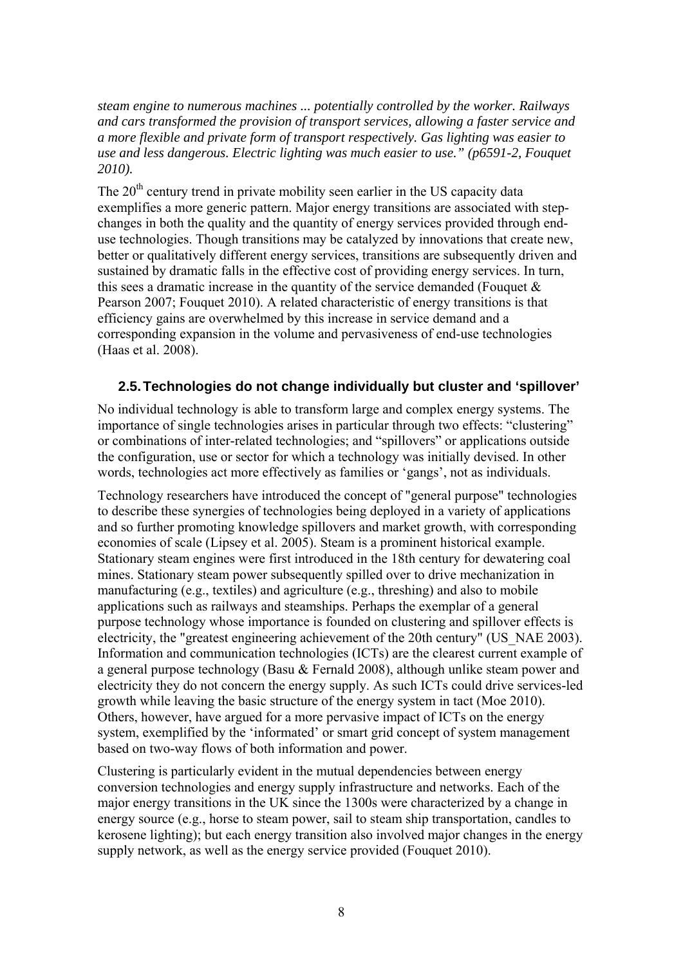*steam engine to numerous machines ... potentially controlled by the worker. Railways and cars transformed the provision of transport services, allowing a faster service and a more flexible and private form of transport respectively. Gas lighting was easier to use and less dangerous. Electric lighting was much easier to use." (p6591-2, Fouquet 2010).*

The 20<sup>th</sup> century trend in private mobility seen earlier in the US capacity data exemplifies a more generic pattern. Major energy transitions are associated with stepchanges in both the quality and the quantity of energy services provided through enduse technologies. Though transitions may be catalyzed by innovations that create new, better or qualitatively different energy services, transitions are subsequently driven and sustained by dramatic falls in the effective cost of providing energy services. In turn, this sees a dramatic increase in the quantity of the service demanded (Fouquet  $\&$ Pearson 2007; Fouquet 2010). A related characteristic of energy transitions is that efficiency gains are overwhelmed by this increase in service demand and a corresponding expansion in the volume and pervasiveness of end-use technologies (Haas et al. 2008).

## **2.5. Technologies do not change individually but cluster and 'spillover'**

No individual technology is able to transform large and complex energy systems. The importance of single technologies arises in particular through two effects: "clustering" or combinations of inter-related technologies; and "spillovers" or applications outside the configuration, use or sector for which a technology was initially devised. In other words, technologies act more effectively as families or 'gangs', not as individuals.

Technology researchers have introduced the concept of "general purpose" technologies to describe these synergies of technologies being deployed in a variety of applications and so further promoting knowledge spillovers and market growth, with corresponding economies of scale (Lipsey et al. 2005). Steam is a prominent historical example. Stationary steam engines were first introduced in the 18th century for dewatering coal mines. Stationary steam power subsequently spilled over to drive mechanization in manufacturing (e.g., textiles) and agriculture (e.g., threshing) and also to mobile applications such as railways and steamships. Perhaps the exemplar of a general purpose technology whose importance is founded on clustering and spillover effects is electricity, the "greatest engineering achievement of the 20th century" (US\_NAE 2003). Information and communication technologies (ICTs) are the clearest current example of a general purpose technology (Basu & Fernald 2008), although unlike steam power and electricity they do not concern the energy supply. As such ICTs could drive services-led growth while leaving the basic structure of the energy system in tact (Moe 2010). Others, however, have argued for a more pervasive impact of ICTs on the energy system, exemplified by the 'informated' or smart grid concept of system management based on two-way flows of both information and power.

Clustering is particularly evident in the mutual dependencies between energy conversion technologies and energy supply infrastructure and networks. Each of the major energy transitions in the UK since the 1300s were characterized by a change in energy source (e.g., horse to steam power, sail to steam ship transportation, candles to kerosene lighting); but each energy transition also involved major changes in the energy supply network, as well as the energy service provided (Fouquet 2010).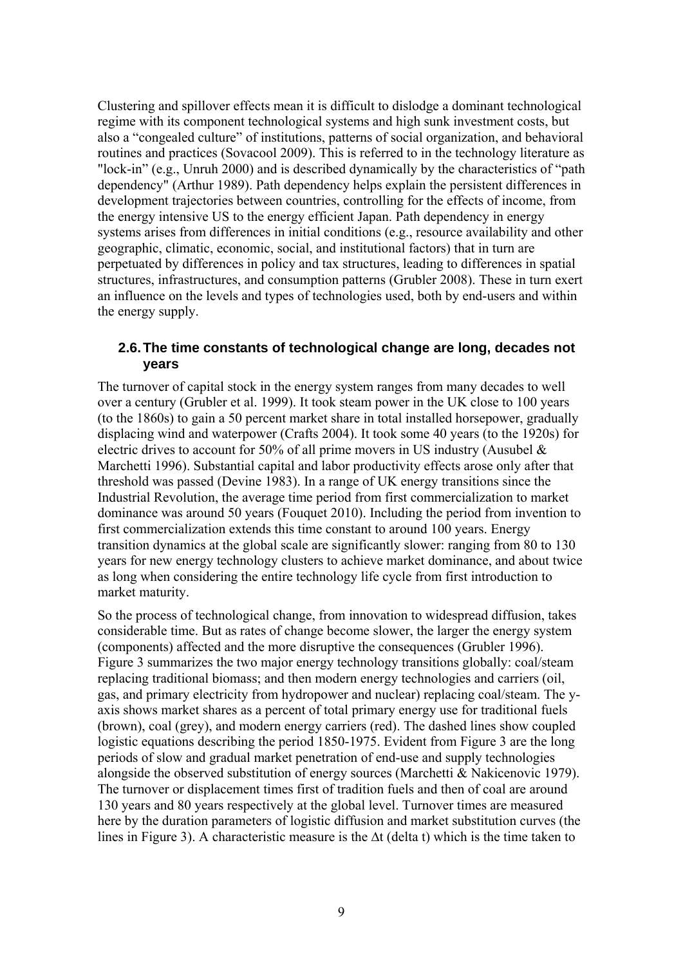Clustering and spillover effects mean it is difficult to dislodge a dominant technological regime with its component technological systems and high sunk investment costs, but also a "congealed culture" of institutions, patterns of social organization, and behavioral routines and practices (Sovacool 2009). This is referred to in the technology literature as "lock-in" (e.g., Unruh 2000) and is described dynamically by the characteristics of "path dependency" (Arthur 1989). Path dependency helps explain the persistent differences in development trajectories between countries, controlling for the effects of income, from the energy intensive US to the energy efficient Japan. Path dependency in energy systems arises from differences in initial conditions (e.g., resource availability and other geographic, climatic, economic, social, and institutional factors) that in turn are perpetuated by differences in policy and tax structures, leading to differences in spatial structures, infrastructures, and consumption patterns (Grubler 2008). These in turn exert an influence on the levels and types of technologies used, both by end-users and within the energy supply.

### **2.6. The time constants of technological change are long, decades not years**

The turnover of capital stock in the energy system ranges from many decades to well over a century (Grubler et al. 1999). It took steam power in the UK close to 100 years (to the 1860s) to gain a 50 percent market share in total installed horsepower, gradually displacing wind and waterpower (Crafts 2004). It took some 40 years (to the 1920s) for electric drives to account for 50% of all prime movers in US industry (Ausubel  $\&$ Marchetti 1996). Substantial capital and labor productivity effects arose only after that threshold was passed (Devine 1983). In a range of UK energy transitions since the Industrial Revolution, the average time period from first commercialization to market dominance was around 50 years (Fouquet 2010). Including the period from invention to first commercialization extends this time constant to around 100 years. Energy transition dynamics at the global scale are significantly slower: ranging from 80 to 130 years for new energy technology clusters to achieve market dominance, and about twice as long when considering the entire technology life cycle from first introduction to market maturity.

So the process of technological change, from innovation to widespread diffusion, takes considerable time. But as rates of change become slower, the larger the energy system (components) affected and the more disruptive the consequences (Grubler 1996). Figure 3 summarizes the two major energy technology transitions globally: coal/steam replacing traditional biomass; and then modern energy technologies and carriers (oil, gas, and primary electricity from hydropower and nuclear) replacing coal/steam. The yaxis shows market shares as a percent of total primary energy use for traditional fuels (brown), coal (grey), and modern energy carriers (red). The dashed lines show coupled logistic equations describing the period 1850-1975. Evident from Figure 3 are the long periods of slow and gradual market penetration of end-use and supply technologies alongside the observed substitution of energy sources (Marchetti & Nakicenovic 1979). The turnover or displacement times first of tradition fuels and then of coal are around 130 years and 80 years respectively at the global level. Turnover times are measured here by the duration parameters of logistic diffusion and market substitution curves (the lines in Figure 3). A characteristic measure is the ∆t (delta t) which is the time taken to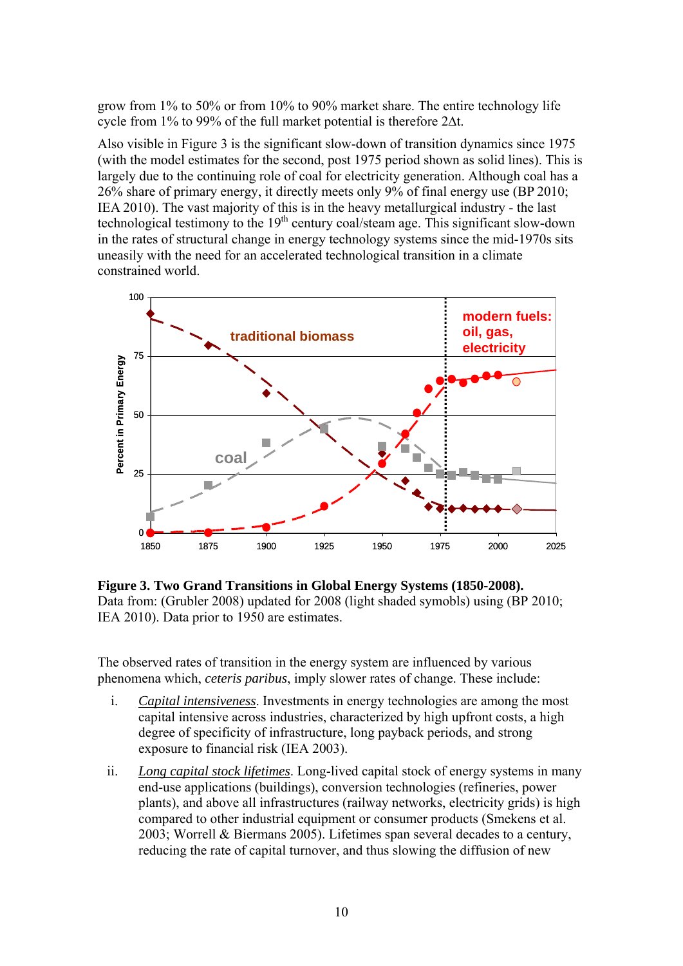grow from 1% to 50% or from 10% to 90% market share. The entire technology life cycle from 1% to 99% of the full market potential is therefore 2∆t.

Also visible in Figure 3 is the significant slow-down of transition dynamics since 1975 (with the model estimates for the second, post 1975 period shown as solid lines). This is largely due to the continuing role of coal for electricity generation. Although coal has a 26% share of primary energy, it directly meets only 9% of final energy use (BP 2010; IEA 2010). The vast majority of this is in the heavy metallurgical industry - the last technological testimony to the  $19<sup>th</sup>$  century coal/steam age. This significant slow-down in the rates of structural change in energy technology systems since the mid-1970s sits uneasily with the need for an accelerated technological transition in a climate constrained world.



**Figure 3. Two Grand Transitions in Global Energy Systems (1850-2008).**  Data from: (Grubler 2008) updated for 2008 (light shaded symobls) using (BP 2010; IEA 2010). Data prior to 1950 are estimates.

The observed rates of transition in the energy system are influenced by various phenomena which, *ceteris paribus*, imply slower rates of change. These include:

- i. *Capital intensiveness*. Investments in energy technologies are among the most capital intensive across industries, characterized by high upfront costs, a high degree of specificity of infrastructure, long payback periods, and strong exposure to financial risk (IEA 2003).
- ii. *Long capital stock lifetimes*. Long-lived capital stock of energy systems in many end-use applications (buildings), conversion technologies (refineries, power plants), and above all infrastructures (railway networks, electricity grids) is high compared to other industrial equipment or consumer products (Smekens et al. 2003; Worrell & Biermans 2005). Lifetimes span several decades to a century, reducing the rate of capital turnover, and thus slowing the diffusion of new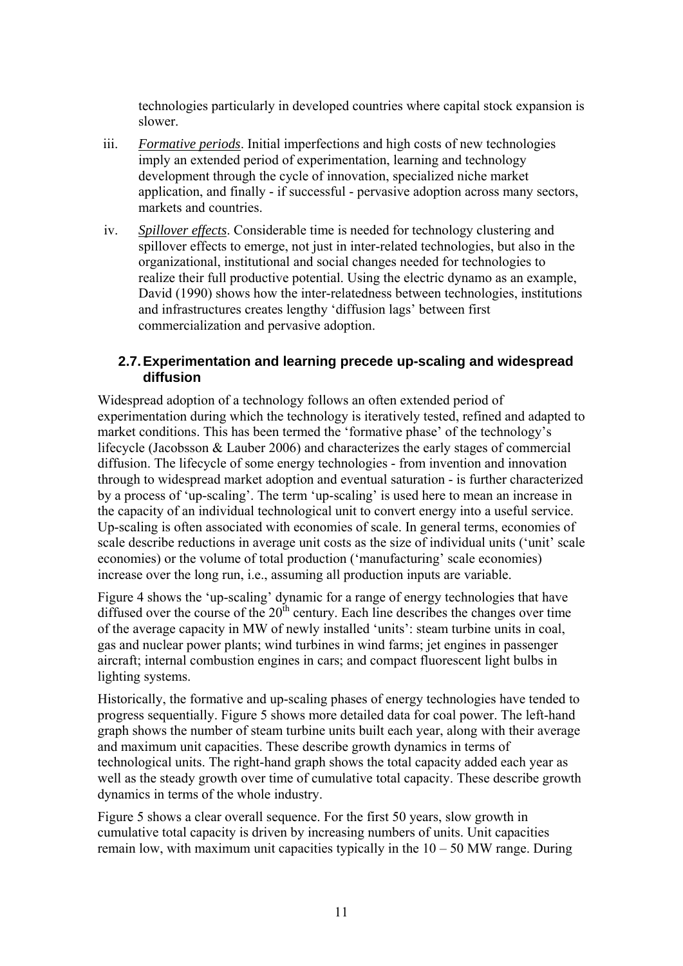technologies particularly in developed countries where capital stock expansion is slower.

- iii. *Formative periods*. Initial imperfections and high costs of new technologies imply an extended period of experimentation, learning and technology development through the cycle of innovation, specialized niche market application, and finally - if successful - pervasive adoption across many sectors, markets and countries.
- iv. *Spillover effects*. Considerable time is needed for technology clustering and spillover effects to emerge, not just in inter-related technologies, but also in the organizational, institutional and social changes needed for technologies to realize their full productive potential. Using the electric dynamo as an example, David (1990) shows how the inter-relatedness between technologies, institutions and infrastructures creates lengthy 'diffusion lags' between first commercialization and pervasive adoption.

## **2.7. Experimentation and learning precede up-scaling and widespread diffusion**

Widespread adoption of a technology follows an often extended period of experimentation during which the technology is iteratively tested, refined and adapted to market conditions. This has been termed the 'formative phase' of the technology's lifecycle (Jacobsson & Lauber 2006) and characterizes the early stages of commercial diffusion. The lifecycle of some energy technologies - from invention and innovation through to widespread market adoption and eventual saturation - is further characterized by a process of 'up-scaling'. The term 'up-scaling' is used here to mean an increase in the capacity of an individual technological unit to convert energy into a useful service. Up-scaling is often associated with economies of scale. In general terms, economies of scale describe reductions in average unit costs as the size of individual units ('unit' scale economies) or the volume of total production ('manufacturing' scale economies) increase over the long run, i.e., assuming all production inputs are variable.

Figure 4 shows the 'up-scaling' dynamic for a range of energy technologies that have diffused over the course of the  $20<sup>th</sup>$  century. Each line describes the changes over time of the average capacity in MW of newly installed 'units': steam turbine units in coal, gas and nuclear power plants; wind turbines in wind farms; jet engines in passenger aircraft; internal combustion engines in cars; and compact fluorescent light bulbs in lighting systems.

Historically, the formative and up-scaling phases of energy technologies have tended to progress sequentially. Figure 5 shows more detailed data for coal power. The left-hand graph shows the number of steam turbine units built each year, along with their average and maximum unit capacities. These describe growth dynamics in terms of technological units. The right-hand graph shows the total capacity added each year as well as the steady growth over time of cumulative total capacity. These describe growth dynamics in terms of the whole industry.

Figure 5 shows a clear overall sequence. For the first 50 years, slow growth in cumulative total capacity is driven by increasing numbers of units. Unit capacities remain low, with maximum unit capacities typically in the  $10 - 50$  MW range. During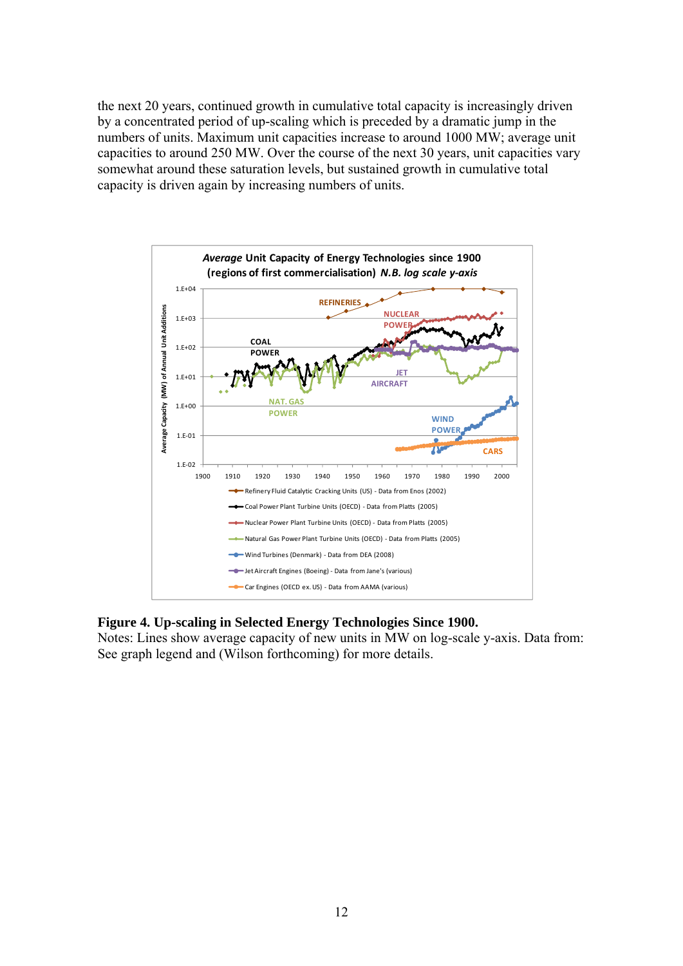the next 20 years, continued growth in cumulative total capacity is increasingly driven by a concentrated period of up-scaling which is preceded by a dramatic jump in the numbers of units. Maximum unit capacities increase to around 1000 MW; average unit capacities to around 250 MW. Over the course of the next 30 years, unit capacities vary somewhat around these saturation levels, but sustained growth in cumulative total capacity is driven again by increasing numbers of units.



## **Figure 4. Up-scaling in Selected Energy Technologies Since 1900.**

Notes: Lines show average capacity of new units in MW on log-scale y-axis. Data from: See graph legend and (Wilson forthcoming) for more details.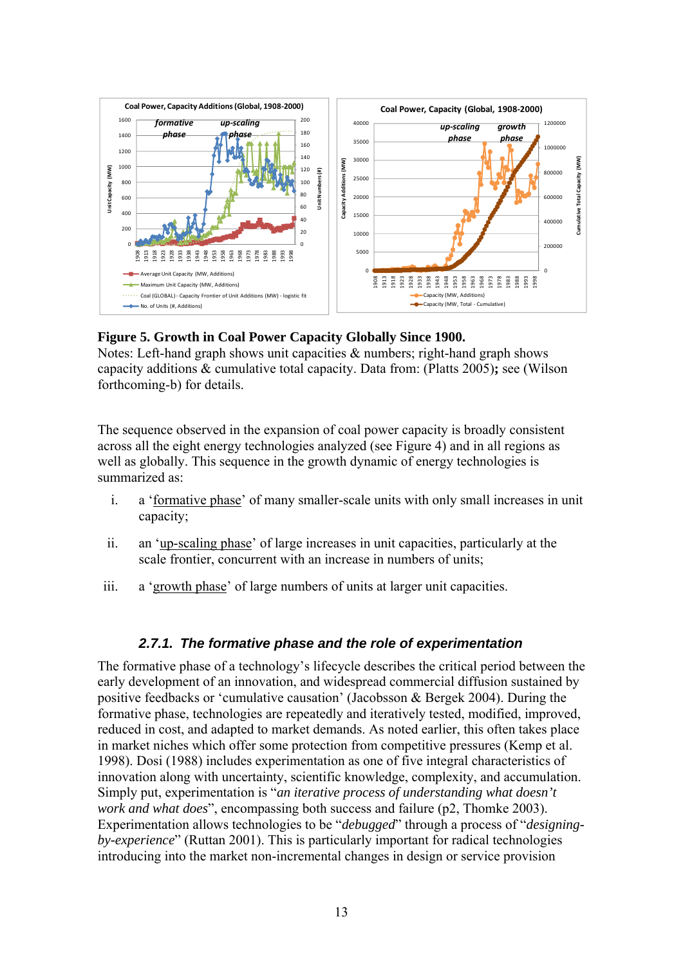

## **Figure 5. Growth in Coal Power Capacity Globally Since 1900.**

Notes: Left-hand graph shows unit capacities & numbers; right-hand graph shows capacity additions & cumulative total capacity. Data from: (Platts 2005)**;** see (Wilson forthcoming-b) for details.

The sequence observed in the expansion of coal power capacity is broadly consistent across all the eight energy technologies analyzed (see Figure 4) and in all regions as well as globally. This sequence in the growth dynamic of energy technologies is summarized as:

- i. a 'formative phase' of many smaller-scale units with only small increases in unit capacity;
- ii. an 'up-scaling phase' of large increases in unit capacities, particularly at the scale frontier, concurrent with an increase in numbers of units;
- iii. a 'growth phase' of large numbers of units at larger unit capacities.

# *2.7.1. The formative phase and the role of experimentation*

The formative phase of a technology's lifecycle describes the critical period between the early development of an innovation, and widespread commercial diffusion sustained by positive feedbacks or 'cumulative causation' (Jacobsson & Bergek 2004). During the formative phase, technologies are repeatedly and iteratively tested, modified, improved, reduced in cost, and adapted to market demands. As noted earlier, this often takes place in market niches which offer some protection from competitive pressures (Kemp et al. 1998). Dosi (1988) includes experimentation as one of five integral characteristics of innovation along with uncertainty, scientific knowledge, complexity, and accumulation. Simply put, experimentation is "*an iterative process of understanding what doesn't work and what does*", encompassing both success and failure (p2, Thomke 2003). Experimentation allows technologies to be "*debugged*" through a process of "*designingby-experience*" (Ruttan 2001). This is particularly important for radical technologies introducing into the market non-incremental changes in design or service provision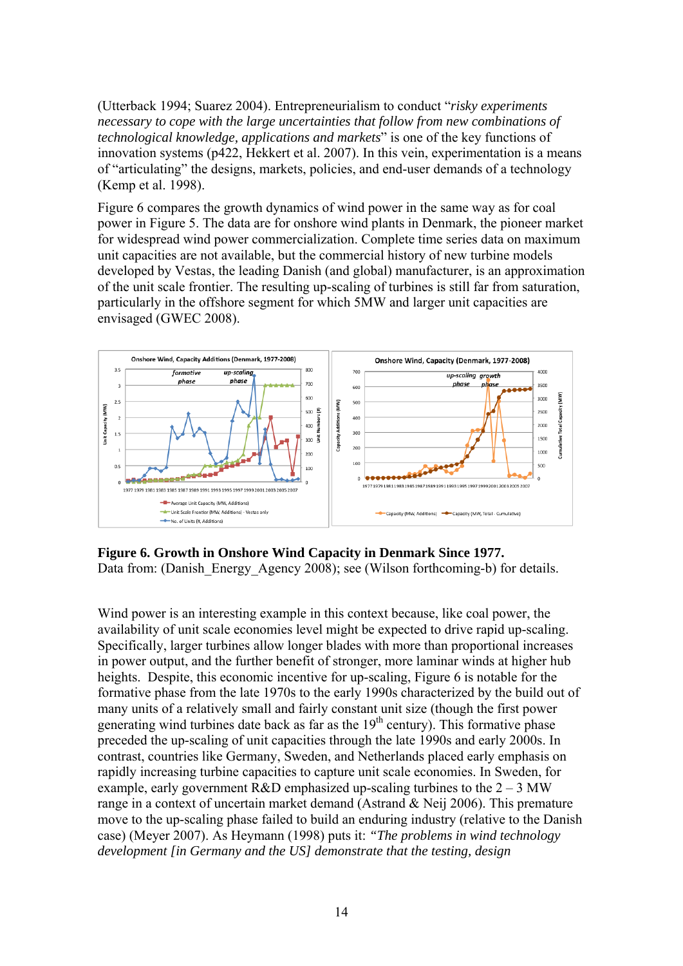(Utterback 1994; Suarez 2004). Entrepreneurialism to conduct "*risky experiments necessary to cope with the large uncertainties that follow from new combinations of technological knowledge, applications and markets*" is one of the key functions of innovation systems (p422, Hekkert et al. 2007). In this vein, experimentation is a means of "articulating" the designs, markets, policies, and end-user demands of a technology (Kemp et al. 1998).

Figure 6 compares the growth dynamics of wind power in the same way as for coal power in Figure 5. The data are for onshore wind plants in Denmark, the pioneer market for widespread wind power commercialization. Complete time series data on maximum unit capacities are not available, but the commercial history of new turbine models developed by Vestas, the leading Danish (and global) manufacturer, is an approximation of the unit scale frontier. The resulting up-scaling of turbines is still far from saturation, particularly in the offshore segment for which 5MW and larger unit capacities are envisaged (GWEC 2008).



**Figure 6. Growth in Onshore Wind Capacity in Denmark Since 1977.** 

Data from: (Danish Energy Agency 2008); see (Wilson forthcoming-b) for details.

Wind power is an interesting example in this context because, like coal power, the availability of unit scale economies level might be expected to drive rapid up-scaling. Specifically, larger turbines allow longer blades with more than proportional increases in power output, and the further benefit of stronger, more laminar winds at higher hub heights. Despite, this economic incentive for up-scaling, Figure 6 is notable for the formative phase from the late 1970s to the early 1990s characterized by the build out of many units of a relatively small and fairly constant unit size (though the first power generating wind turbines date back as far as the  $19<sup>th</sup>$  century). This formative phase preceded the up-scaling of unit capacities through the late 1990s and early 2000s. In contrast, countries like Germany, Sweden, and Netherlands placed early emphasis on rapidly increasing turbine capacities to capture unit scale economies. In Sweden, for example, early government R&D emphasized up-scaling turbines to the  $2 - 3$  MW range in a context of uncertain market demand (Astrand & Neij 2006). This premature move to the up-scaling phase failed to build an enduring industry (relative to the Danish case) (Meyer 2007). As Heymann (1998) puts it: *"The problems in wind technology development [in Germany and the US] demonstrate that the testing, design*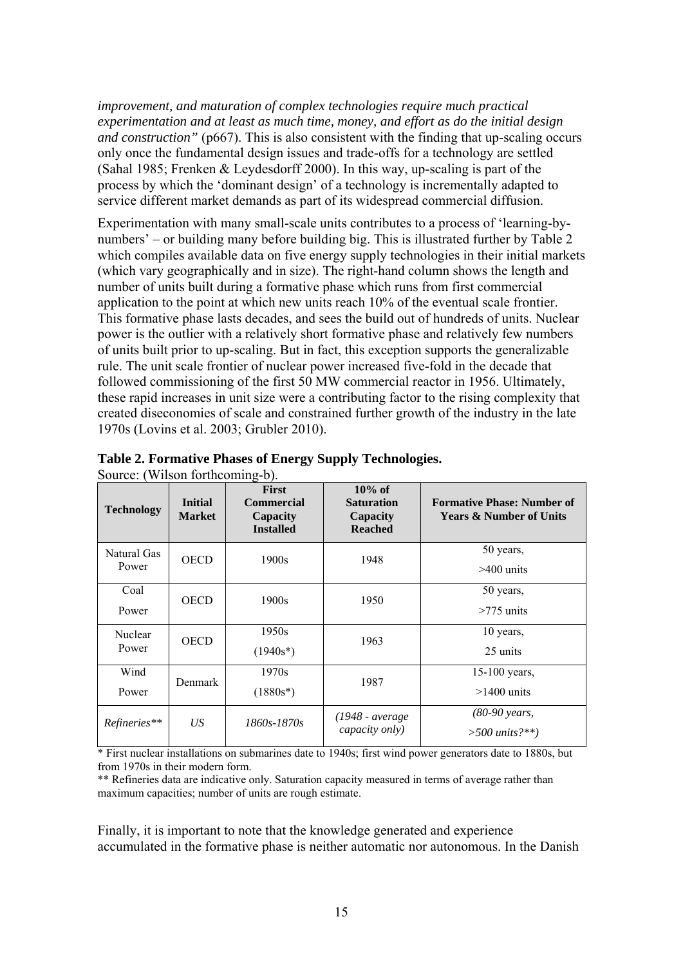*improvement, and maturation of complex technologies require much practical experimentation and at least as much time, money, and effort as do the initial design and construction"* (p667). This is also consistent with the finding that up-scaling occurs only once the fundamental design issues and trade-offs for a technology are settled (Sahal 1985; Frenken & Leydesdorff 2000). In this way, up-scaling is part of the process by which the 'dominant design' of a technology is incrementally adapted to service different market demands as part of its widespread commercial diffusion.

Experimentation with many small-scale units contributes to a process of 'learning-bynumbers' – or building many before building big. This is illustrated further by Table 2 which compiles available data on five energy supply technologies in their initial markets (which vary geographically and in size). The right-hand column shows the length and number of units built during a formative phase which runs from first commercial application to the point at which new units reach 10% of the eventual scale frontier. This formative phase lasts decades, and sees the build out of hundreds of units. Nuclear power is the outlier with a relatively short formative phase and relatively few numbers of units built prior to up-scaling. But in fact, this exception supports the generalizable rule. The unit scale frontier of nuclear power increased five-fold in the decade that followed commissioning of the first 50 MW commercial reactor in 1956. Ultimately, these rapid increases in unit size were a contributing factor to the rising complexity that created diseconomies of scale and constrained further growth of the industry in the late 1970s (Lovins et al. 2003; Grubler 2010).

| $\frac{1}{2}$<br><b>Technology</b> | <b>Initial</b><br><b>Market</b> | <b>First</b><br><b>Commercial</b><br>Capacity<br><b>Installed</b> | $10\%$ of<br><b>Saturation</b><br>Capacity<br><b>Reached</b> | <b>Formative Phase: Number of</b><br><b>Years &amp; Number of Units</b> |
|------------------------------------|---------------------------------|-------------------------------------------------------------------|--------------------------------------------------------------|-------------------------------------------------------------------------|
| Natural Gas<br>Power               | <b>OECD</b>                     | 1900s                                                             | 1948                                                         | 50 years,<br>$>400$ units                                               |
| Coal<br>Power                      | <b>OECD</b>                     | 1900s                                                             | 1950                                                         | 50 years,<br>$>775$ units                                               |
| Nuclear<br>Power                   | <b>OECD</b>                     | 1950s<br>$(1940s^*)$                                              | 1963                                                         | 10 years,<br>25 units                                                   |
| Wind<br>Power                      | 1970s<br>Denmark<br>$(1880s*)$  |                                                                   | 1987                                                         | $15-100$ years,<br>$>1400$ units                                        |
| Refineries**                       | US <sup>-</sup>                 | 1860s-1870s                                                       | (1948 - average<br>capacity only)                            | $(80-90 \text{ years},$<br>$>$ 500 units?**)                            |

|                                |  | Table 2. Formative Phases of Energy Supply Technologies. |  |
|--------------------------------|--|----------------------------------------------------------|--|
| Source: (Wilson forthcoming-h) |  |                                                          |  |

\* First nuclear installations on submarines date to 1940s; first wind power generators date to 1880s, but from 1970s in their modern form.

\*\* Refineries data are indicative only. Saturation capacity measured in terms of average rather than maximum capacities; number of units are rough estimate.

Finally, it is important to note that the knowledge generated and experience accumulated in the formative phase is neither automatic nor autonomous. In the Danish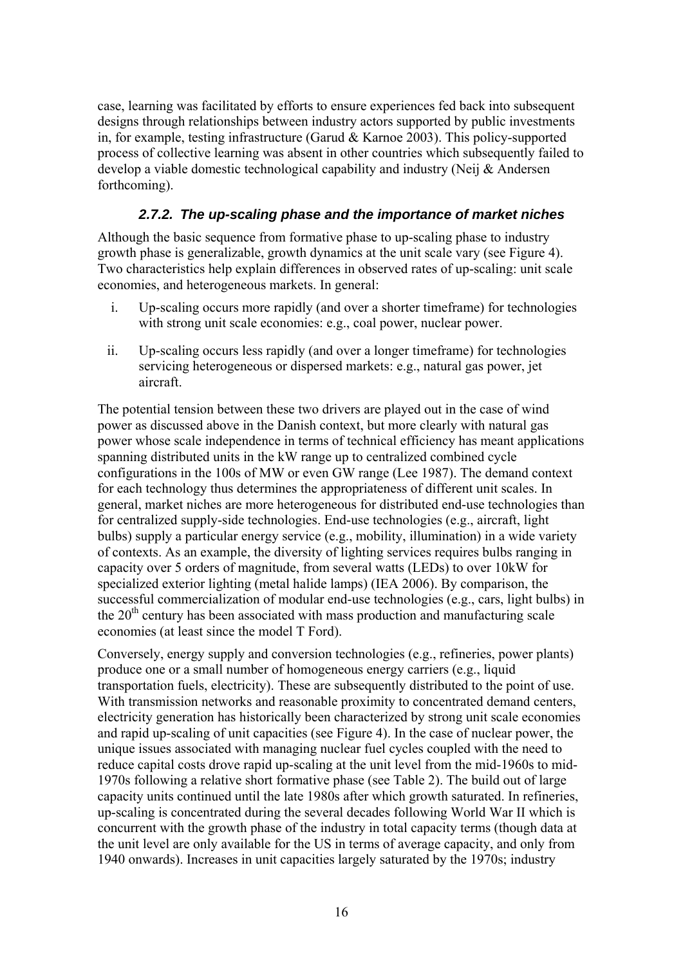case, learning was facilitated by efforts to ensure experiences fed back into subsequent designs through relationships between industry actors supported by public investments in, for example, testing infrastructure (Garud & Karnoe 2003). This policy-supported process of collective learning was absent in other countries which subsequently failed to develop a viable domestic technological capability and industry (Neij & Andersen forthcoming).

# *2.7.2. The up-scaling phase and the importance of market niches*

Although the basic sequence from formative phase to up-scaling phase to industry growth phase is generalizable, growth dynamics at the unit scale vary (see Figure 4). Two characteristics help explain differences in observed rates of up-scaling: unit scale economies, and heterogeneous markets. In general:

- i. Up-scaling occurs more rapidly (and over a shorter timeframe) for technologies with strong unit scale economies: e.g., coal power, nuclear power.
- ii. Up-scaling occurs less rapidly (and over a longer timeframe) for technologies servicing heterogeneous or dispersed markets: e.g., natural gas power, jet aircraft.

The potential tension between these two drivers are played out in the case of wind power as discussed above in the Danish context, but more clearly with natural gas power whose scale independence in terms of technical efficiency has meant applications spanning distributed units in the kW range up to centralized combined cycle configurations in the 100s of MW or even GW range (Lee 1987). The demand context for each technology thus determines the appropriateness of different unit scales. In general, market niches are more heterogeneous for distributed end-use technologies than for centralized supply-side technologies. End-use technologies (e.g., aircraft, light bulbs) supply a particular energy service (e.g., mobility, illumination) in a wide variety of contexts. As an example, the diversity of lighting services requires bulbs ranging in capacity over 5 orders of magnitude, from several watts (LEDs) to over 10kW for specialized exterior lighting (metal halide lamps) (IEA 2006). By comparison, the successful commercialization of modular end-use technologies (e.g., cars, light bulbs) in the  $20<sup>th</sup>$  century has been associated with mass production and manufacturing scale economies (at least since the model T Ford).

Conversely, energy supply and conversion technologies (e.g., refineries, power plants) produce one or a small number of homogeneous energy carriers (e.g., liquid transportation fuels, electricity). These are subsequently distributed to the point of use. With transmission networks and reasonable proximity to concentrated demand centers, electricity generation has historically been characterized by strong unit scale economies and rapid up-scaling of unit capacities (see Figure 4). In the case of nuclear power, the unique issues associated with managing nuclear fuel cycles coupled with the need to reduce capital costs drove rapid up-scaling at the unit level from the mid-1960s to mid-1970s following a relative short formative phase (see Table 2). The build out of large capacity units continued until the late 1980s after which growth saturated. In refineries, up-scaling is concentrated during the several decades following World War II which is concurrent with the growth phase of the industry in total capacity terms (though data at the unit level are only available for the US in terms of average capacity, and only from 1940 onwards). Increases in unit capacities largely saturated by the 1970s; industry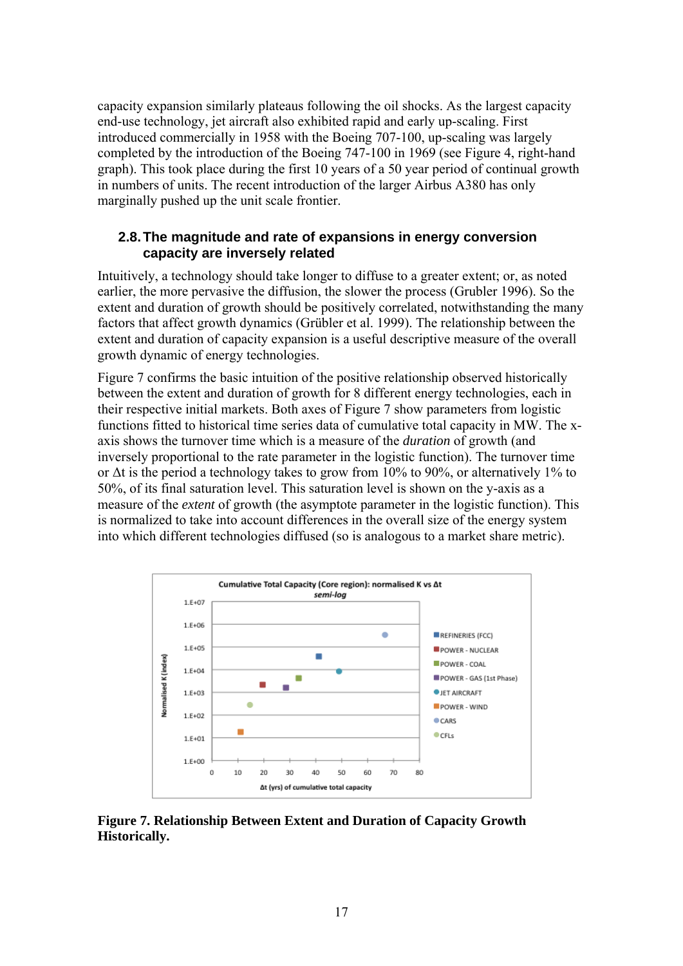capacity expansion similarly plateaus following the oil shocks. As the largest capacity end-use technology, jet aircraft also exhibited rapid and early up-scaling. First introduced commercially in 1958 with the Boeing 707-100, up-scaling was largely completed by the introduction of the Boeing 747-100 in 1969 (see Figure 4, right-hand graph). This took place during the first 10 years of a 50 year period of continual growth in numbers of units. The recent introduction of the larger Airbus A380 has only marginally pushed up the unit scale frontier.

### **2.8. The magnitude and rate of expansions in energy conversion capacity are inversely related**

Intuitively, a technology should take longer to diffuse to a greater extent; or, as noted earlier, the more pervasive the diffusion, the slower the process (Grubler 1996). So the extent and duration of growth should be positively correlated, notwithstanding the many factors that affect growth dynamics (Grübler et al. 1999). The relationship between the extent and duration of capacity expansion is a useful descriptive measure of the overall growth dynamic of energy technologies.

Figure 7 confirms the basic intuition of the positive relationship observed historically between the extent and duration of growth for 8 different energy technologies, each in their respective initial markets. Both axes of Figure 7 show parameters from logistic functions fitted to historical time series data of cumulative total capacity in MW. The xaxis shows the turnover time which is a measure of the *duration* of growth (and inversely proportional to the rate parameter in the logistic function). The turnover time or  $\Delta t$  is the period a technology takes to grow from 10% to 90%, or alternatively 1% to 50%, of its final saturation level. This saturation level is shown on the y-axis as a measure of the *extent* of growth (the asymptote parameter in the logistic function). This is normalized to take into account differences in the overall size of the energy system into which different technologies diffused (so is analogous to a market share metric).



**Figure 7. Relationship Between Extent and Duration of Capacity Growth Historically.**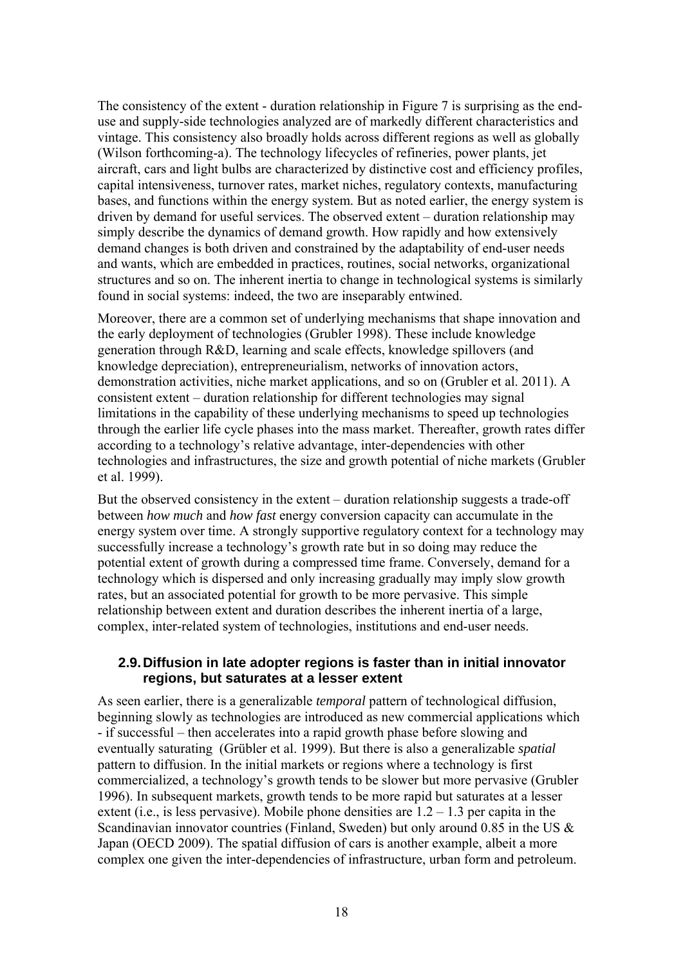The consistency of the extent - duration relationship in Figure 7 is surprising as the enduse and supply-side technologies analyzed are of markedly different characteristics and vintage. This consistency also broadly holds across different regions as well as globally (Wilson forthcoming-a). The technology lifecycles of refineries, power plants, jet aircraft, cars and light bulbs are characterized by distinctive cost and efficiency profiles, capital intensiveness, turnover rates, market niches, regulatory contexts, manufacturing bases, and functions within the energy system. But as noted earlier, the energy system is driven by demand for useful services. The observed extent – duration relationship may simply describe the dynamics of demand growth. How rapidly and how extensively demand changes is both driven and constrained by the adaptability of end-user needs and wants, which are embedded in practices, routines, social networks, organizational structures and so on. The inherent inertia to change in technological systems is similarly found in social systems: indeed, the two are inseparably entwined.

Moreover, there are a common set of underlying mechanisms that shape innovation and the early deployment of technologies (Grubler 1998). These include knowledge generation through R&D, learning and scale effects, knowledge spillovers (and knowledge depreciation), entrepreneurialism, networks of innovation actors, demonstration activities, niche market applications, and so on (Grubler et al. 2011). A consistent extent – duration relationship for different technologies may signal limitations in the capability of these underlying mechanisms to speed up technologies through the earlier life cycle phases into the mass market. Thereafter, growth rates differ according to a technology's relative advantage, inter-dependencies with other technologies and infrastructures, the size and growth potential of niche markets (Grubler et al. 1999).

But the observed consistency in the extent – duration relationship suggests a trade-off between *how much* and *how fast* energy conversion capacity can accumulate in the energy system over time. A strongly supportive regulatory context for a technology may successfully increase a technology's growth rate but in so doing may reduce the potential extent of growth during a compressed time frame. Conversely, demand for a technology which is dispersed and only increasing gradually may imply slow growth rates, but an associated potential for growth to be more pervasive. This simple relationship between extent and duration describes the inherent inertia of a large, complex, inter-related system of technologies, institutions and end-user needs.

### **2.9. Diffusion in late adopter regions is faster than in initial innovator regions, but saturates at a lesser extent**

As seen earlier, there is a generalizable *temporal* pattern of technological diffusion, beginning slowly as technologies are introduced as new commercial applications which - if successful – then accelerates into a rapid growth phase before slowing and eventually saturating (Grübler et al. 1999). But there is also a generalizable *spatial* pattern to diffusion. In the initial markets or regions where a technology is first commercialized, a technology's growth tends to be slower but more pervasive (Grubler 1996). In subsequent markets, growth tends to be more rapid but saturates at a lesser extent (i.e., is less pervasive). Mobile phone densities are  $1.2 - 1.3$  per capita in the Scandinavian innovator countries (Finland, Sweden) but only around 0.85 in the US & Japan (OECD 2009). The spatial diffusion of cars is another example, albeit a more complex one given the inter-dependencies of infrastructure, urban form and petroleum.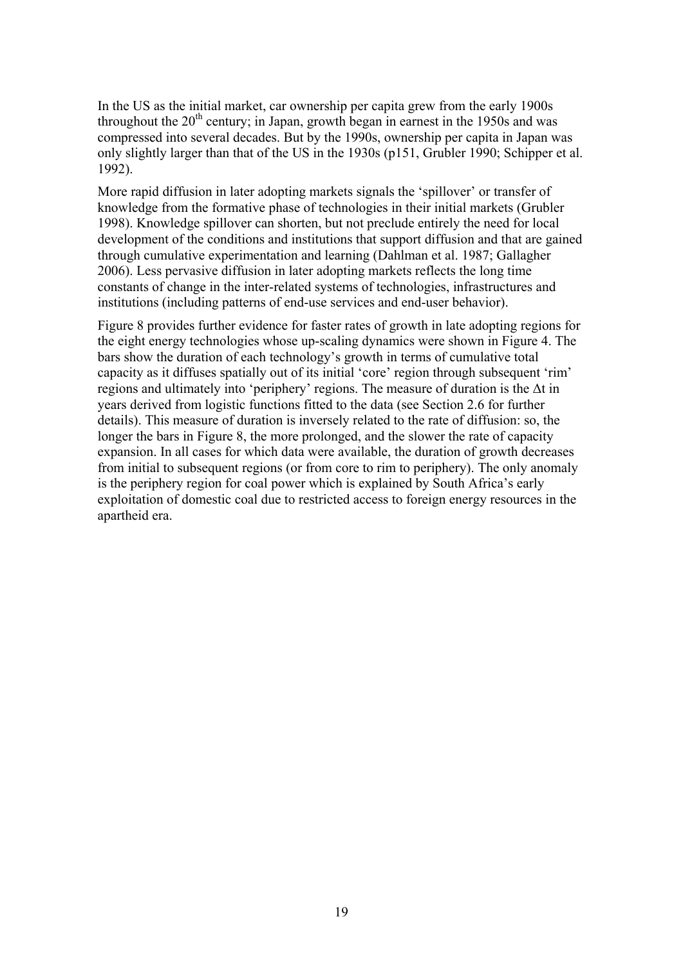In the US as the initial market, car ownership per capita grew from the early 1900s throughout the  $20<sup>th</sup>$  century; in Japan, growth began in earnest in the 1950s and was compressed into several decades. But by the 1990s, ownership per capita in Japan was only slightly larger than that of the US in the 1930s (p151, Grubler 1990; Schipper et al. 1992).

More rapid diffusion in later adopting markets signals the 'spillover' or transfer of knowledge from the formative phase of technologies in their initial markets (Grubler 1998). Knowledge spillover can shorten, but not preclude entirely the need for local development of the conditions and institutions that support diffusion and that are gained through cumulative experimentation and learning (Dahlman et al. 1987; Gallagher 2006). Less pervasive diffusion in later adopting markets reflects the long time constants of change in the inter-related systems of technologies, infrastructures and institutions (including patterns of end-use services and end-user behavior).

Figure 8 provides further evidence for faster rates of growth in late adopting regions for the eight energy technologies whose up-scaling dynamics were shown in Figure 4. The bars show the duration of each technology's growth in terms of cumulative total capacity as it diffuses spatially out of its initial 'core' region through subsequent 'rim' regions and ultimately into 'periphery' regions. The measure of duration is the Δt in years derived from logistic functions fitted to the data (see Section 2.6 for further details). This measure of duration is inversely related to the rate of diffusion: so, the longer the bars in Figure 8, the more prolonged, and the slower the rate of capacity expansion. In all cases for which data were available, the duration of growth decreases from initial to subsequent regions (or from core to rim to periphery). The only anomaly is the periphery region for coal power which is explained by South Africa's early exploitation of domestic coal due to restricted access to foreign energy resources in the apartheid era.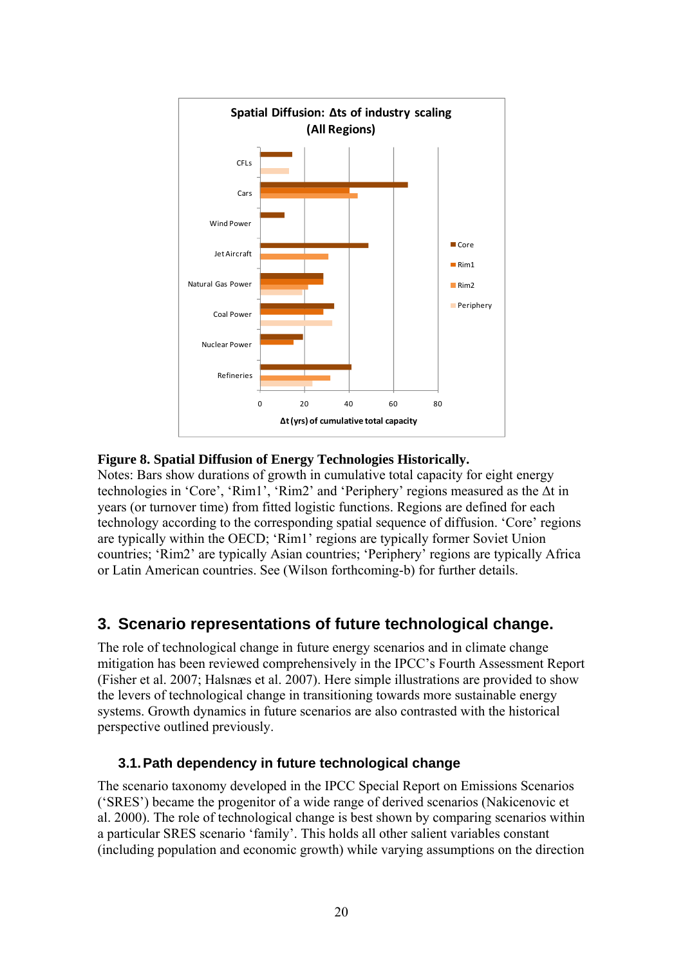

# **Figure 8. Spatial Diffusion of Energy Technologies Historically.**

Notes: Bars show durations of growth in cumulative total capacity for eight energy technologies in 'Core', 'Rim1', 'Rim2' and 'Periphery' regions measured as the Δt in years (or turnover time) from fitted logistic functions. Regions are defined for each technology according to the corresponding spatial sequence of diffusion. 'Core' regions are typically within the OECD; 'Rim1' regions are typically former Soviet Union countries; 'Rim2' are typically Asian countries; 'Periphery' regions are typically Africa or Latin American countries. See (Wilson forthcoming-b) for further details.

# **3. Scenario representations of future technological change.**

The role of technological change in future energy scenarios and in climate change mitigation has been reviewed comprehensively in the IPCC's Fourth Assessment Report (Fisher et al. 2007; Halsnæs et al. 2007). Here simple illustrations are provided to show the levers of technological change in transitioning towards more sustainable energy systems. Growth dynamics in future scenarios are also contrasted with the historical perspective outlined previously.

# **3.1. Path dependency in future technological change**

The scenario taxonomy developed in the IPCC Special Report on Emissions Scenarios ('SRES') became the progenitor of a wide range of derived scenarios (Nakicenovic et al. 2000). The role of technological change is best shown by comparing scenarios within a particular SRES scenario 'family'. This holds all other salient variables constant (including population and economic growth) while varying assumptions on the direction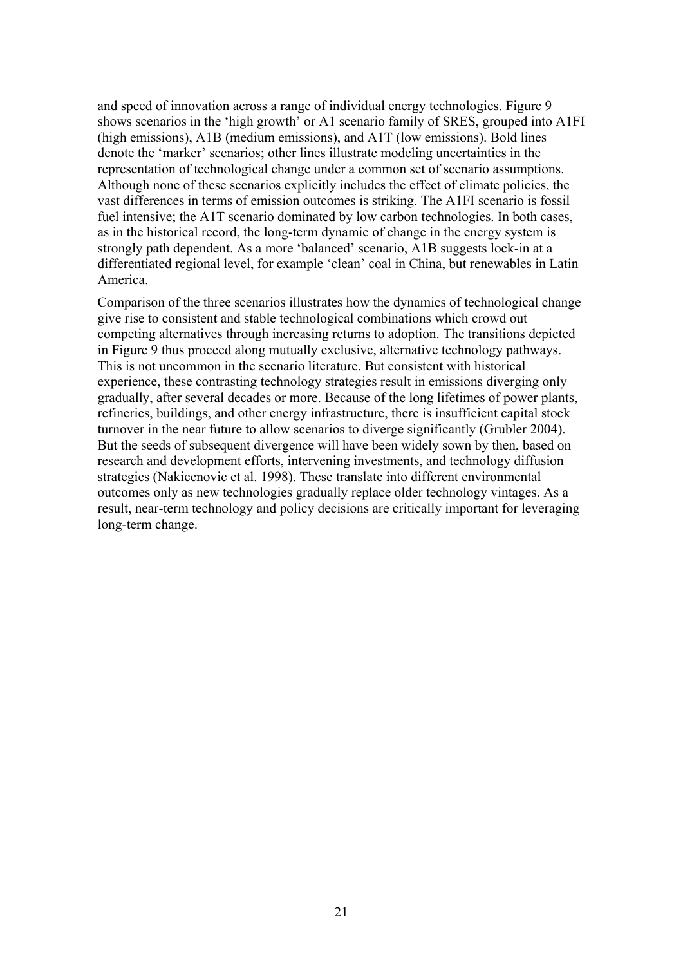and speed of innovation across a range of individual energy technologies. Figure 9 shows scenarios in the 'high growth' or A1 scenario family of SRES, grouped into A1FI (high emissions), A1B (medium emissions), and A1T (low emissions). Bold lines denote the 'marker' scenarios; other lines illustrate modeling uncertainties in the representation of technological change under a common set of scenario assumptions. Although none of these scenarios explicitly includes the effect of climate policies, the vast differences in terms of emission outcomes is striking. The A1FI scenario is fossil fuel intensive; the A1T scenario dominated by low carbon technologies. In both cases, as in the historical record, the long-term dynamic of change in the energy system is strongly path dependent. As a more 'balanced' scenario, A1B suggests lock-in at a differentiated regional level, for example 'clean' coal in China, but renewables in Latin America.

Comparison of the three scenarios illustrates how the dynamics of technological change give rise to consistent and stable technological combinations which crowd out competing alternatives through increasing returns to adoption. The transitions depicted in Figure 9 thus proceed along mutually exclusive, alternative technology pathways. This is not uncommon in the scenario literature. But consistent with historical experience, these contrasting technology strategies result in emissions diverging only gradually, after several decades or more. Because of the long lifetimes of power plants, refineries, buildings, and other energy infrastructure, there is insufficient capital stock turnover in the near future to allow scenarios to diverge significantly (Grubler 2004). But the seeds of subsequent divergence will have been widely sown by then, based on research and development efforts, intervening investments, and technology diffusion strategies (Nakicenovic et al. 1998). These translate into different environmental outcomes only as new technologies gradually replace older technology vintages. As a result, near-term technology and policy decisions are critically important for leveraging long-term change.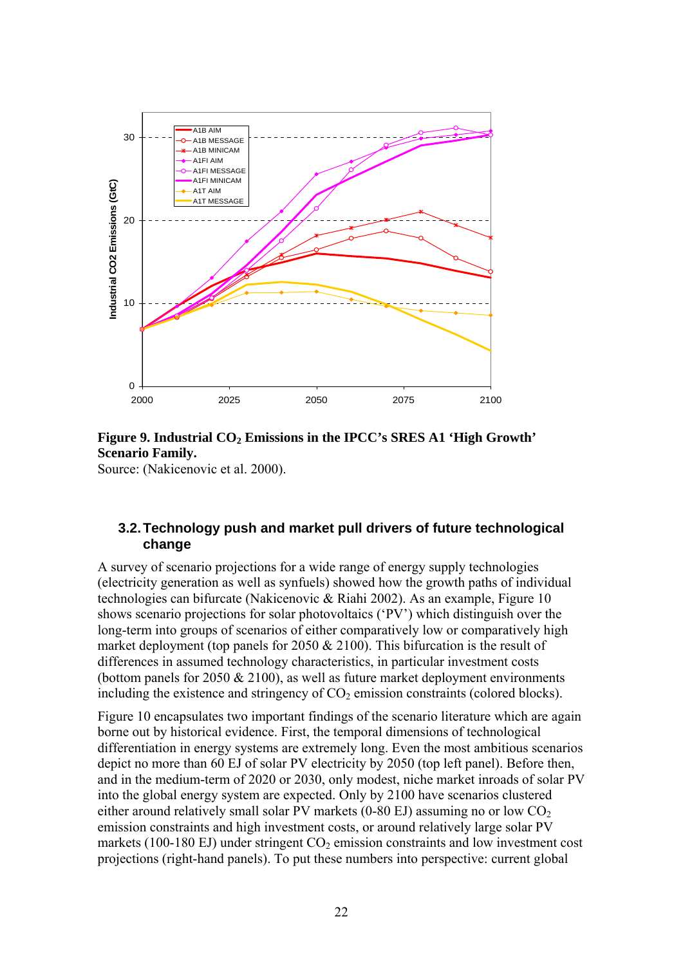

## Figure 9. Industrial CO<sub>2</sub> Emissions in the IPCC's SRES A1 'High Growth' **Scenario Family.**

Source: (Nakicenovic et al. 2000).

# **3.2. Technology push and market pull drivers of future technological change**

A survey of scenario projections for a wide range of energy supply technologies (electricity generation as well as synfuels) showed how the growth paths of individual technologies can bifurcate (Nakicenovic & Riahi 2002). As an example, Figure 10 shows scenario projections for solar photovoltaics ('PV') which distinguish over the long-term into groups of scenarios of either comparatively low or comparatively high market deployment (top panels for 2050  $& 2100$ ). This bifurcation is the result of differences in assumed technology characteristics, in particular investment costs (bottom panels for 2050  $& 2100$ ), as well as future market deployment environments including the existence and stringency of  $CO<sub>2</sub>$  emission constraints (colored blocks).

Figure 10 encapsulates two important findings of the scenario literature which are again borne out by historical evidence. First, the temporal dimensions of technological differentiation in energy systems are extremely long. Even the most ambitious scenarios depict no more than 60 EJ of solar PV electricity by 2050 (top left panel). Before then, and in the medium-term of 2020 or 2030, only modest, niche market inroads of solar PV into the global energy system are expected. Only by 2100 have scenarios clustered either around relatively small solar PV markets (0-80 EJ) assuming no or low  $CO<sub>2</sub>$ emission constraints and high investment costs, or around relatively large solar PV markets (100-180 EJ) under stringent  $CO<sub>2</sub>$  emission constraints and low investment cost projections (right-hand panels). To put these numbers into perspective: current global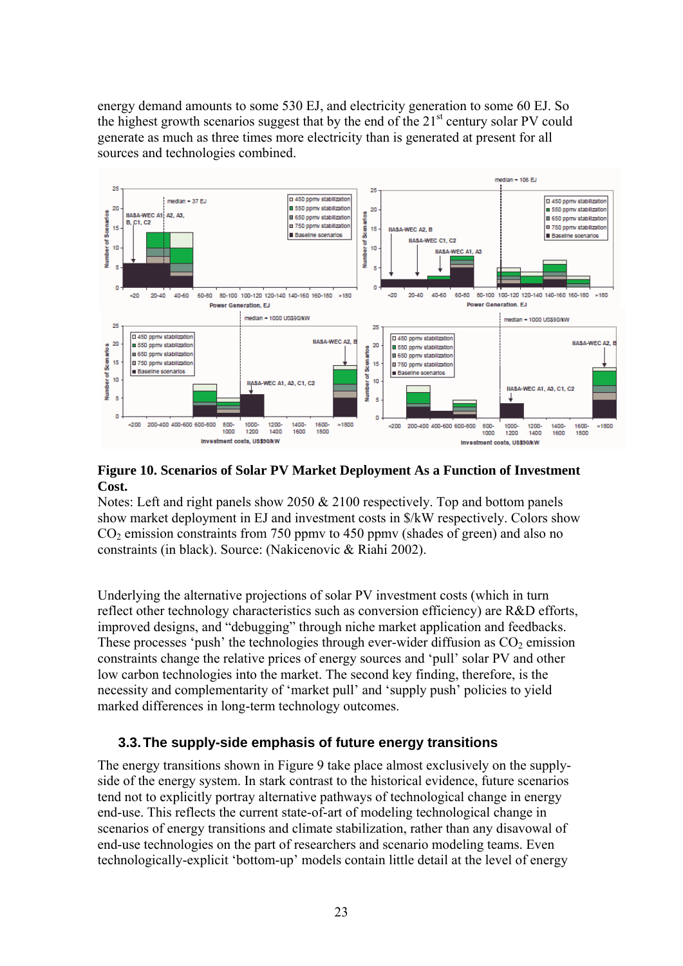energy demand amounts to some 530 EJ, and electricity generation to some 60 EJ. So the highest growth scenarios suggest that by the end of the  $21<sup>st</sup>$  century solar PV could generate as much as three times more electricity than is generated at present for all sources and technologies combined.



### **Figure 10. Scenarios of Solar PV Market Deployment As a Function of Investment Cost.**

Notes: Left and right panels show 2050  $& 2100$  respectively. Top and bottom panels show market deployment in EJ and investment costs in \$/kW respectively. Colors show  $CO<sub>2</sub>$  emission constraints from 750 ppmv to 450 ppmv (shades of green) and also no constraints (in black). Source: (Nakicenovic & Riahi 2002).

Underlying the alternative projections of solar PV investment costs (which in turn reflect other technology characteristics such as conversion efficiency) are R&D efforts, improved designs, and "debugging" through niche market application and feedbacks. These processes 'push' the technologies through ever-wider diffusion as  $CO<sub>2</sub>$  emission constraints change the relative prices of energy sources and 'pull' solar PV and other low carbon technologies into the market. The second key finding, therefore, is the necessity and complementarity of 'market pull' and 'supply push' policies to yield marked differences in long-term technology outcomes.

# **3.3. The supply-side emphasis of future energy transitions**

The energy transitions shown in Figure 9 take place almost exclusively on the supplyside of the energy system. In stark contrast to the historical evidence, future scenarios tend not to explicitly portray alternative pathways of technological change in energy end-use. This reflects the current state-of-art of modeling technological change in scenarios of energy transitions and climate stabilization, rather than any disavowal of end-use technologies on the part of researchers and scenario modeling teams. Even technologically-explicit 'bottom-up' models contain little detail at the level of energy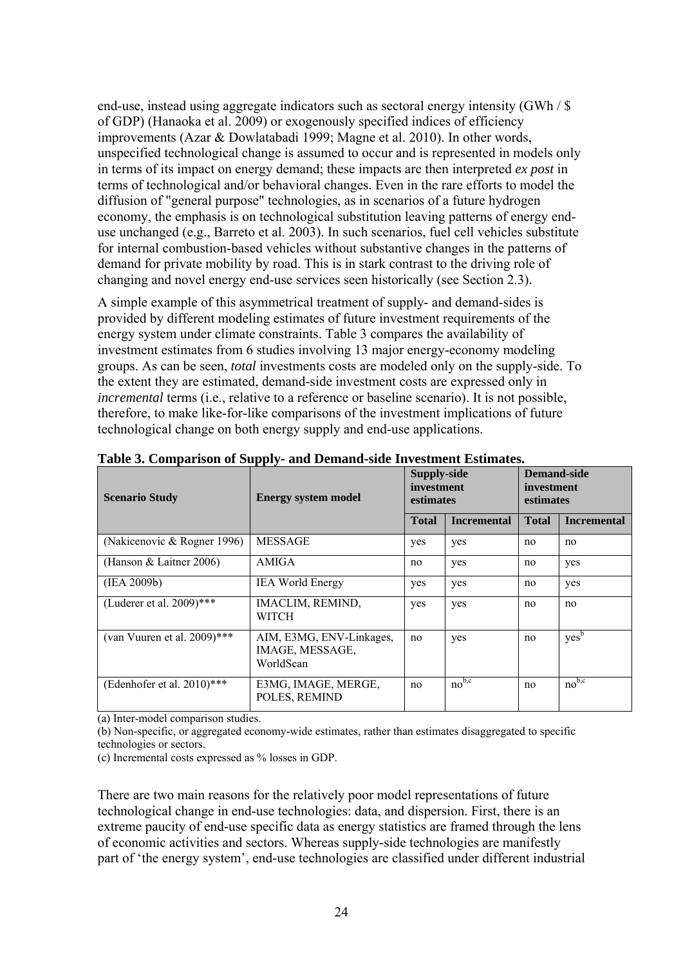end-use, instead using aggregate indicators such as sectoral energy intensity (GWh / \$ of GDP) (Hanaoka et al. 2009) or exogenously specified indices of efficiency improvements (Azar & Dowlatabadi 1999; Magne et al. 2010). In other words, unspecified technological change is assumed to occur and is represented in models only in terms of its impact on energy demand; these impacts are then interpreted *ex post* in terms of technological and/or behavioral changes. Even in the rare efforts to model the diffusion of "general purpose" technologies, as in scenarios of a future hydrogen economy, the emphasis is on technological substitution leaving patterns of energy enduse unchanged (e.g., Barreto et al. 2003). In such scenarios, fuel cell vehicles substitute for internal combustion-based vehicles without substantive changes in the patterns of demand for private mobility by road. This is in stark contrast to the driving role of changing and novel energy end-use services seen historically (see Section 2.3).

A simple example of this asymmetrical treatment of supply- and demand-sides is provided by different modeling estimates of future investment requirements of the energy system under climate constraints. Table 3 compares the availability of investment estimates from 6 studies involving 13 major energy-economy modeling groups. As can be seen, *total* investments costs are modeled only on the supply-side. To the extent they are estimated, demand-side investment costs are expressed only in *incremental* terms (i.e., relative to a reference or baseline scenario). It is not possible, therefore, to make like-for-like comparisons of the investment implications of future technological change on both energy supply and end-use applications.

| <b>Scenario Study</b>         | <b>Energy system model</b>                               | <b>Supply-side</b><br>investment<br>estimates |                    | <b>Demand-side</b><br>investment<br>estimates |                    |
|-------------------------------|----------------------------------------------------------|-----------------------------------------------|--------------------|-----------------------------------------------|--------------------|
|                               |                                                          | <b>Total</b>                                  | <b>Incremental</b> | <b>Total</b>                                  | <b>Incremental</b> |
| (Nakicenovic & Rogner 1996)   | <b>MESSAGE</b>                                           | yes                                           | yes                | no                                            | no                 |
| (Hanson & Laitner 2006)       | AMIGA                                                    | no                                            | yes                | no                                            | yes                |
| (IEA 2009b)                   | <b>IEA World Energy</b>                                  | yes                                           | yes                | no                                            | yes                |
| (Luderer et al. 2009)***      | IMACLIM, REMIND,<br><b>WITCH</b>                         | yes                                           | yes                | no                                            | no                 |
| (van Vuuren et al. 2009)***   | AIM, E3MG, ENV-Linkages,<br>IMAGE, MESSAGE,<br>WorldScan | no                                            | yes                | no                                            | yes <sup>b</sup>   |
| (Edenhofer et al. $2010$ )*** | E3MG, IMAGE, MERGE,<br>POLES, REMIND                     | no                                            | $no^{b,c}$         | no                                            | $no^{b,c}$         |

**Table 3. Comparison of Supply- and Demand-side Investment Estimates.** 

(a) Inter-model comparison studies.

(b) Non-specific, or aggregated economy-wide estimates, rather than estimates disaggregated to specific technologies or sectors.

(c) Incremental costs expressed as % losses in GDP.

There are two main reasons for the relatively poor model representations of future technological change in end-use technologies: data, and dispersion. First, there is an extreme paucity of end-use specific data as energy statistics are framed through the lens of economic activities and sectors. Whereas supply-side technologies are manifestly part of 'the energy system', end-use technologies are classified under different industrial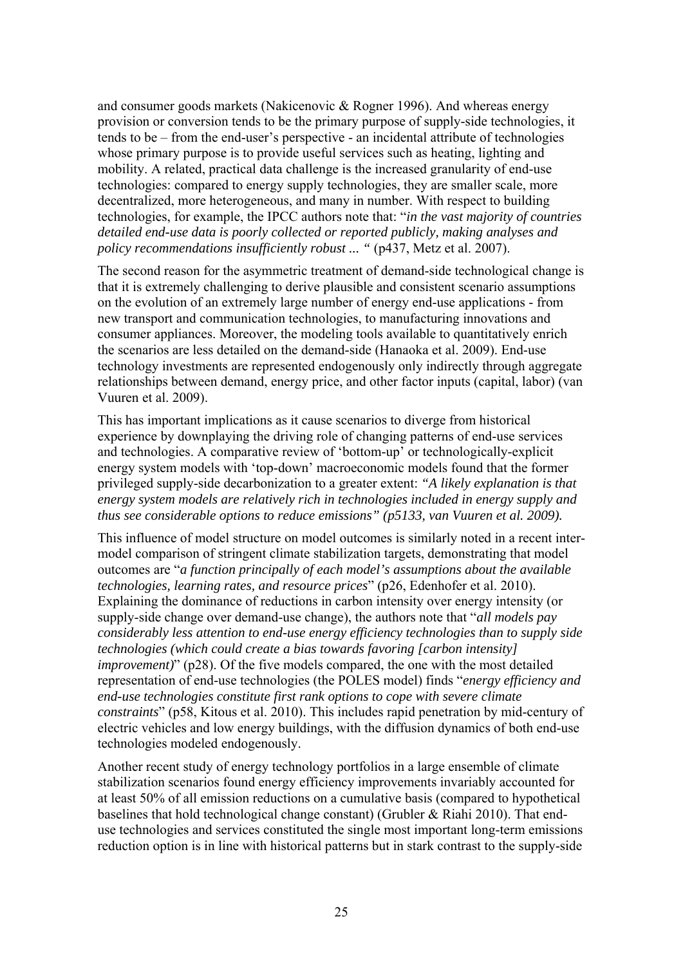and consumer goods markets (Nakicenovic & Rogner 1996). And whereas energy provision or conversion tends to be the primary purpose of supply-side technologies, it tends to be – from the end-user's perspective - an incidental attribute of technologies whose primary purpose is to provide useful services such as heating, lighting and mobility. A related, practical data challenge is the increased granularity of end-use technologies: compared to energy supply technologies, they are smaller scale, more decentralized, more heterogeneous, and many in number. With respect to building technologies, for example, the IPCC authors note that: "*in the vast majority of countries detailed end-use data is poorly collected or reported publicly, making analyses and policy recommendations insufficiently robust ... " (p437, Metz et al. 2007).* 

The second reason for the asymmetric treatment of demand-side technological change is that it is extremely challenging to derive plausible and consistent scenario assumptions on the evolution of an extremely large number of energy end-use applications - from new transport and communication technologies, to manufacturing innovations and consumer appliances. Moreover, the modeling tools available to quantitatively enrich the scenarios are less detailed on the demand-side (Hanaoka et al. 2009). End-use technology investments are represented endogenously only indirectly through aggregate relationships between demand, energy price, and other factor inputs (capital, labor) (van Vuuren et al. 2009).

This has important implications as it cause scenarios to diverge from historical experience by downplaying the driving role of changing patterns of end-use services and technologies. A comparative review of 'bottom-up' or technologically-explicit energy system models with 'top-down' macroeconomic models found that the former privileged supply-side decarbonization to a greater extent: *"A likely explanation is that energy system models are relatively rich in technologies included in energy supply and thus see considerable options to reduce emissions" (p5133, van Vuuren et al. 2009).*

This influence of model structure on model outcomes is similarly noted in a recent intermodel comparison of stringent climate stabilization targets, demonstrating that model outcomes are "*a function principally of each model's assumptions about the available technologies, learning rates, and resource prices*" (p26, Edenhofer et al. 2010). Explaining the dominance of reductions in carbon intensity over energy intensity (or supply-side change over demand-use change), the authors note that "*all models pay considerably less attention to end-use energy efficiency technologies than to supply side technologies (which could create a bias towards favoring [carbon intensity] improvement)*" (p28). Of the five models compared, the one with the most detailed representation of end-use technologies (the POLES model) finds "*energy efficiency and end-use technologies constitute first rank options to cope with severe climate constraints*" (p58, Kitous et al. 2010). This includes rapid penetration by mid-century of electric vehicles and low energy buildings, with the diffusion dynamics of both end-use technologies modeled endogenously.

Another recent study of energy technology portfolios in a large ensemble of climate stabilization scenarios found energy efficiency improvements invariably accounted for at least 50% of all emission reductions on a cumulative basis (compared to hypothetical baselines that hold technological change constant) (Grubler & Riahi 2010). That enduse technologies and services constituted the single most important long-term emissions reduction option is in line with historical patterns but in stark contrast to the supply-side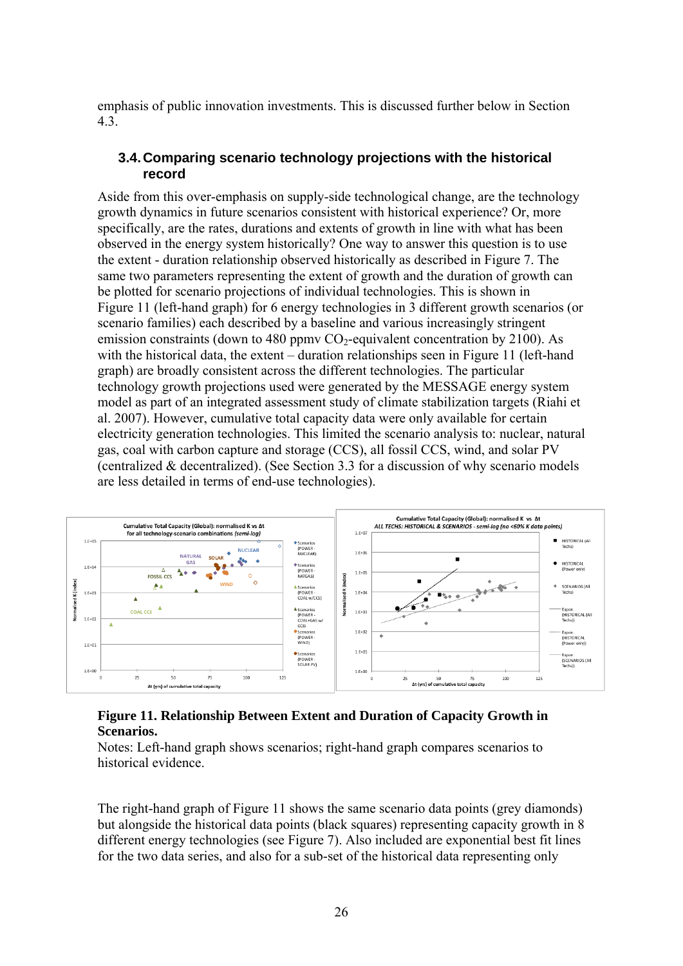emphasis of public innovation investments. This is discussed further below in Section 4.3.

### **3.4. Comparing scenario technology projections with the historical record**

Aside from this over-emphasis on supply-side technological change, are the technology growth dynamics in future scenarios consistent with historical experience? Or, more specifically, are the rates, durations and extents of growth in line with what has been observed in the energy system historically? One way to answer this question is to use the extent - duration relationship observed historically as described in Figure 7. The same two parameters representing the extent of growth and the duration of growth can be plotted for scenario projections of individual technologies. This is shown in Figure 11 (left-hand graph) for 6 energy technologies in 3 different growth scenarios (or scenario families) each described by a baseline and various increasingly stringent emission constraints (down to 480 ppmy  $CO<sub>2</sub>$ -equivalent concentration by 2100). As with the historical data, the extent – duration relationships seen in Figure 11 (left-hand graph) are broadly consistent across the different technologies. The particular technology growth projections used were generated by the MESSAGE energy system model as part of an integrated assessment study of climate stabilization targets (Riahi et al. 2007). However, cumulative total capacity data were only available for certain electricity generation technologies. This limited the scenario analysis to: nuclear, natural gas, coal with carbon capture and storage (CCS), all fossil CCS, wind, and solar PV (centralized & decentralized). (See Section 3.3 for a discussion of why scenario models are less detailed in terms of end-use technologies).



## **Figure 11. Relationship Between Extent and Duration of Capacity Growth in Scenarios.**

Notes: Left-hand graph shows scenarios; right-hand graph compares scenarios to historical evidence.

The right-hand graph of Figure 11 shows the same scenario data points (grey diamonds) but alongside the historical data points (black squares) representing capacity growth in 8 different energy technologies (see Figure 7). Also included are exponential best fit lines for the two data series, and also for a sub-set of the historical data representing only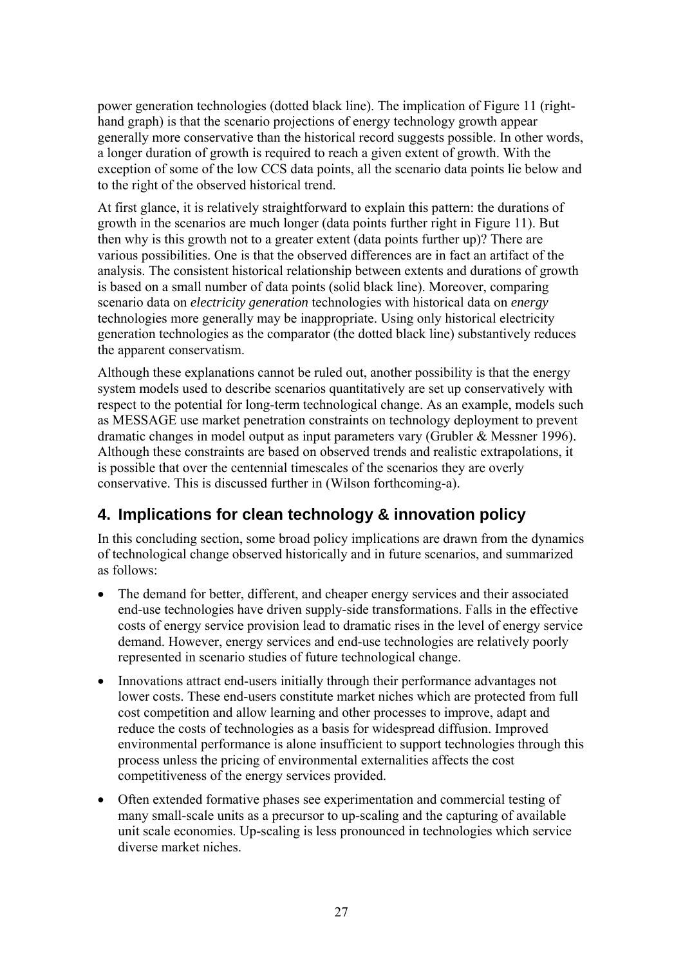power generation technologies (dotted black line). The implication of Figure 11 (righthand graph) is that the scenario projections of energy technology growth appear generally more conservative than the historical record suggests possible. In other words, a longer duration of growth is required to reach a given extent of growth. With the exception of some of the low CCS data points, all the scenario data points lie below and to the right of the observed historical trend.

At first glance, it is relatively straightforward to explain this pattern: the durations of growth in the scenarios are much longer (data points further right in Figure 11). But then why is this growth not to a greater extent (data points further up)? There are various possibilities. One is that the observed differences are in fact an artifact of the analysis. The consistent historical relationship between extents and durations of growth is based on a small number of data points (solid black line). Moreover, comparing scenario data on *electricity generation* technologies with historical data on *energy* technologies more generally may be inappropriate. Using only historical electricity generation technologies as the comparator (the dotted black line) substantively reduces the apparent conservatism.

Although these explanations cannot be ruled out, another possibility is that the energy system models used to describe scenarios quantitatively are set up conservatively with respect to the potential for long-term technological change. As an example, models such as MESSAGE use market penetration constraints on technology deployment to prevent dramatic changes in model output as input parameters vary (Grubler & Messner 1996). Although these constraints are based on observed trends and realistic extrapolations, it is possible that over the centennial timescales of the scenarios they are overly conservative. This is discussed further in (Wilson forthcoming-a).

# **4. Implications for clean technology & innovation policy**

In this concluding section, some broad policy implications are drawn from the dynamics of technological change observed historically and in future scenarios, and summarized as follows:

- The demand for better, different, and cheaper energy services and their associated end-use technologies have driven supply-side transformations. Falls in the effective costs of energy service provision lead to dramatic rises in the level of energy service demand. However, energy services and end-use technologies are relatively poorly represented in scenario studies of future technological change.
- Innovations attract end-users initially through their performance advantages not lower costs. These end-users constitute market niches which are protected from full cost competition and allow learning and other processes to improve, adapt and reduce the costs of technologies as a basis for widespread diffusion. Improved environmental performance is alone insufficient to support technologies through this process unless the pricing of environmental externalities affects the cost competitiveness of the energy services provided.
- Often extended formative phases see experimentation and commercial testing of many small-scale units as a precursor to up-scaling and the capturing of available unit scale economies. Up-scaling is less pronounced in technologies which service diverse market niches.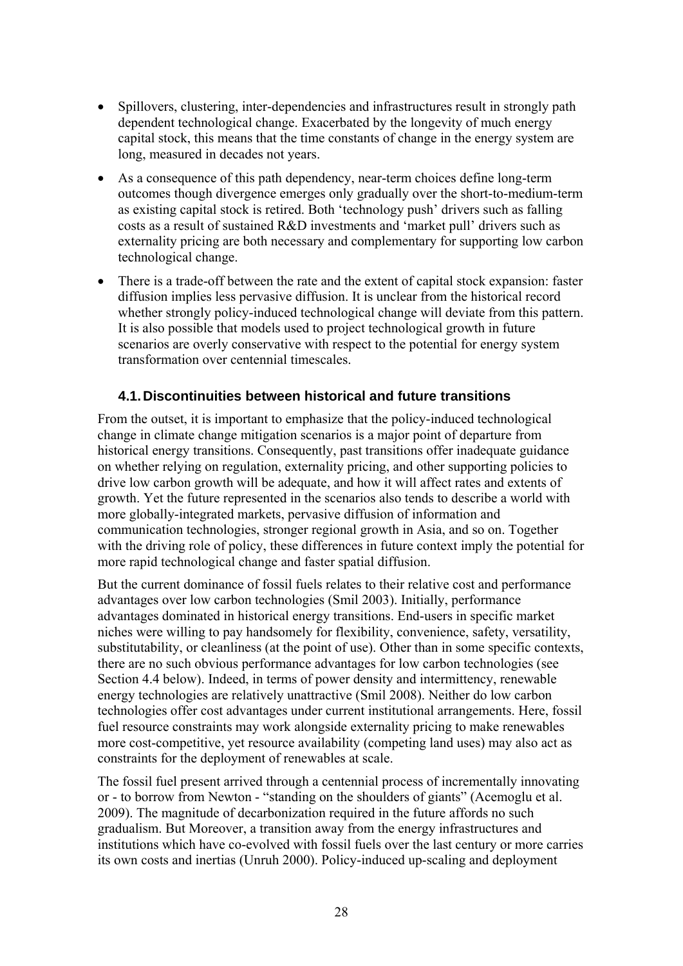- Spillovers, clustering, inter-dependencies and infrastructures result in strongly path dependent technological change. Exacerbated by the longevity of much energy capital stock, this means that the time constants of change in the energy system are long, measured in decades not years.
- As a consequence of this path dependency, near-term choices define long-term outcomes though divergence emerges only gradually over the short-to-medium-term as existing capital stock is retired. Both 'technology push' drivers such as falling costs as a result of sustained R&D investments and 'market pull' drivers such as externality pricing are both necessary and complementary for supporting low carbon technological change.
- There is a trade-off between the rate and the extent of capital stock expansion: faster diffusion implies less pervasive diffusion. It is unclear from the historical record whether strongly policy-induced technological change will deviate from this pattern. It is also possible that models used to project technological growth in future scenarios are overly conservative with respect to the potential for energy system transformation over centennial timescales.

# **4.1. Discontinuities between historical and future transitions**

From the outset, it is important to emphasize that the policy-induced technological change in climate change mitigation scenarios is a major point of departure from historical energy transitions. Consequently, past transitions offer inadequate guidance on whether relying on regulation, externality pricing, and other supporting policies to drive low carbon growth will be adequate, and how it will affect rates and extents of growth. Yet the future represented in the scenarios also tends to describe a world with more globally-integrated markets, pervasive diffusion of information and communication technologies, stronger regional growth in Asia, and so on. Together with the driving role of policy, these differences in future context imply the potential for more rapid technological change and faster spatial diffusion.

But the current dominance of fossil fuels relates to their relative cost and performance advantages over low carbon technologies (Smil 2003). Initially, performance advantages dominated in historical energy transitions. End-users in specific market niches were willing to pay handsomely for flexibility, convenience, safety, versatility, substitutability, or cleanliness (at the point of use). Other than in some specific contexts, there are no such obvious performance advantages for low carbon technologies (see Section 4.4 below). Indeed, in terms of power density and intermittency, renewable energy technologies are relatively unattractive (Smil 2008). Neither do low carbon technologies offer cost advantages under current institutional arrangements. Here, fossil fuel resource constraints may work alongside externality pricing to make renewables more cost-competitive, yet resource availability (competing land uses) may also act as constraints for the deployment of renewables at scale.

The fossil fuel present arrived through a centennial process of incrementally innovating or - to borrow from Newton - "standing on the shoulders of giants" (Acemoglu et al. 2009). The magnitude of decarbonization required in the future affords no such gradualism. But Moreover, a transition away from the energy infrastructures and institutions which have co-evolved with fossil fuels over the last century or more carries its own costs and inertias (Unruh 2000). Policy-induced up-scaling and deployment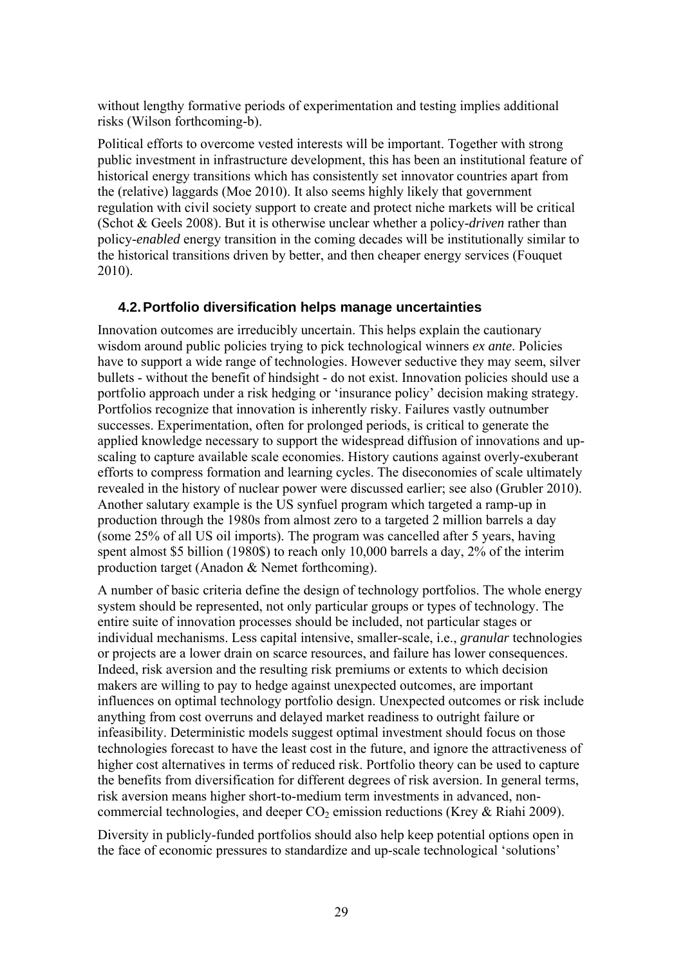without lengthy formative periods of experimentation and testing implies additional risks (Wilson forthcoming-b).

Political efforts to overcome vested interests will be important. Together with strong public investment in infrastructure development, this has been an institutional feature of historical energy transitions which has consistently set innovator countries apart from the (relative) laggards (Moe 2010). It also seems highly likely that government regulation with civil society support to create and protect niche markets will be critical (Schot & Geels 2008). But it is otherwise unclear whether a policy-*driven* rather than policy-*enabled* energy transition in the coming decades will be institutionally similar to the historical transitions driven by better, and then cheaper energy services (Fouquet 2010).

## **4.2. Portfolio diversification helps manage uncertainties**

Innovation outcomes are irreducibly uncertain. This helps explain the cautionary wisdom around public policies trying to pick technological winners *ex ante*. Policies have to support a wide range of technologies. However seductive they may seem, silver bullets - without the benefit of hindsight - do not exist. Innovation policies should use a portfolio approach under a risk hedging or 'insurance policy' decision making strategy. Portfolios recognize that innovation is inherently risky. Failures vastly outnumber successes. Experimentation, often for prolonged periods, is critical to generate the applied knowledge necessary to support the widespread diffusion of innovations and upscaling to capture available scale economies. History cautions against overly-exuberant efforts to compress formation and learning cycles. The diseconomies of scale ultimately revealed in the history of nuclear power were discussed earlier; see also (Grubler 2010). Another salutary example is the US synfuel program which targeted a ramp-up in production through the 1980s from almost zero to a targeted 2 million barrels a day (some 25% of all US oil imports). The program was cancelled after 5 years, having spent almost \$5 billion (1980\$) to reach only 10,000 barrels a day, 2% of the interim production target (Anadon & Nemet forthcoming).

A number of basic criteria define the design of technology portfolios. The whole energy system should be represented, not only particular groups or types of technology. The entire suite of innovation processes should be included, not particular stages or individual mechanisms. Less capital intensive, smaller-scale, i.e., *granular* technologies or projects are a lower drain on scarce resources, and failure has lower consequences. Indeed, risk aversion and the resulting risk premiums or extents to which decision makers are willing to pay to hedge against unexpected outcomes, are important influences on optimal technology portfolio design. Unexpected outcomes or risk include anything from cost overruns and delayed market readiness to outright failure or infeasibility. Deterministic models suggest optimal investment should focus on those technologies forecast to have the least cost in the future, and ignore the attractiveness of higher cost alternatives in terms of reduced risk. Portfolio theory can be used to capture the benefits from diversification for different degrees of risk aversion. In general terms, risk aversion means higher short-to-medium term investments in advanced, noncommercial technologies, and deeper  $CO<sub>2</sub>$  emission reductions (Krey & Riahi 2009).

Diversity in publicly-funded portfolios should also help keep potential options open in the face of economic pressures to standardize and up-scale technological 'solutions'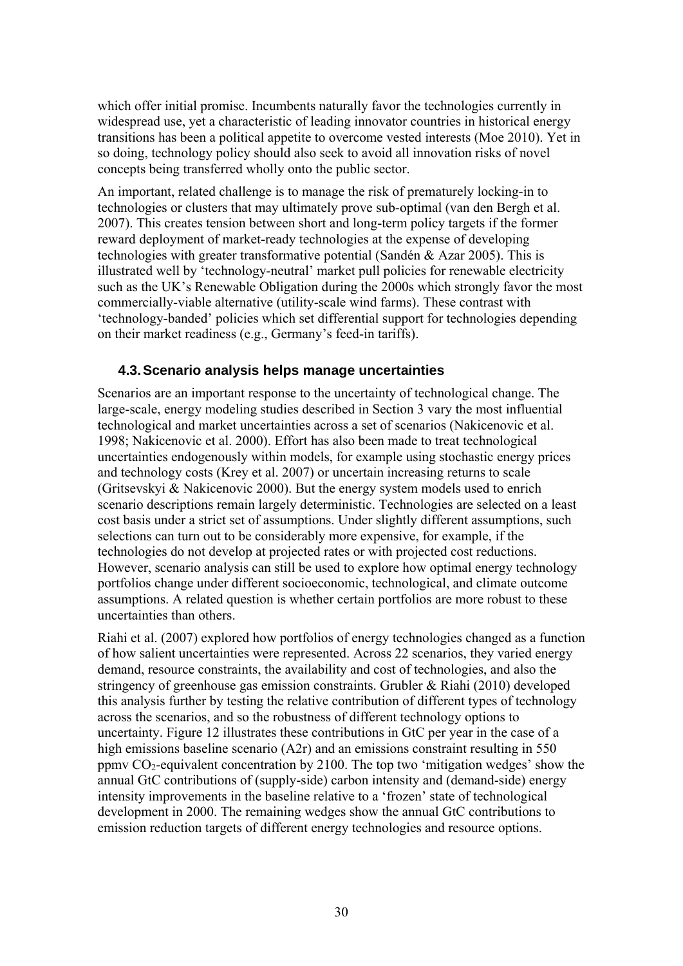which offer initial promise. Incumbents naturally favor the technologies currently in widespread use, yet a characteristic of leading innovator countries in historical energy transitions has been a political appetite to overcome vested interests (Moe 2010). Yet in so doing, technology policy should also seek to avoid all innovation risks of novel concepts being transferred wholly onto the public sector.

An important, related challenge is to manage the risk of prematurely locking-in to technologies or clusters that may ultimately prove sub-optimal (van den Bergh et al. 2007). This creates tension between short and long-term policy targets if the former reward deployment of market-ready technologies at the expense of developing technologies with greater transformative potential (Sandén & Azar 2005). This is illustrated well by 'technology-neutral' market pull policies for renewable electricity such as the UK's Renewable Obligation during the 2000s which strongly favor the most commercially-viable alternative (utility-scale wind farms). These contrast with 'technology-banded' policies which set differential support for technologies depending on their market readiness (e.g., Germany's feed-in tariffs).

## **4.3. Scenario analysis helps manage uncertainties**

Scenarios are an important response to the uncertainty of technological change. The large-scale, energy modeling studies described in Section 3 vary the most influential technological and market uncertainties across a set of scenarios (Nakicenovic et al. 1998; Nakicenovic et al. 2000). Effort has also been made to treat technological uncertainties endogenously within models, for example using stochastic energy prices and technology costs (Krey et al. 2007) or uncertain increasing returns to scale (Gritsevskyi & Nakicenovic 2000). But the energy system models used to enrich scenario descriptions remain largely deterministic. Technologies are selected on a least cost basis under a strict set of assumptions. Under slightly different assumptions, such selections can turn out to be considerably more expensive, for example, if the technologies do not develop at projected rates or with projected cost reductions. However, scenario analysis can still be used to explore how optimal energy technology portfolios change under different socioeconomic, technological, and climate outcome assumptions. A related question is whether certain portfolios are more robust to these uncertainties than others.

Riahi et al. (2007) explored how portfolios of energy technologies changed as a function of how salient uncertainties were represented. Across 22 scenarios, they varied energy demand, resource constraints, the availability and cost of technologies, and also the stringency of greenhouse gas emission constraints. Grubler & Riahi (2010) developed this analysis further by testing the relative contribution of different types of technology across the scenarios, and so the robustness of different technology options to uncertainty. Figure 12 illustrates these contributions in GtC per year in the case of a high emissions baseline scenario (A2r) and an emissions constraint resulting in 550 ppmy  $CO_2$ -equivalent concentration by 2100. The top two 'mitigation wedges' show the annual GtC contributions of (supply-side) carbon intensity and (demand-side) energy intensity improvements in the baseline relative to a 'frozen' state of technological development in 2000. The remaining wedges show the annual GtC contributions to emission reduction targets of different energy technologies and resource options.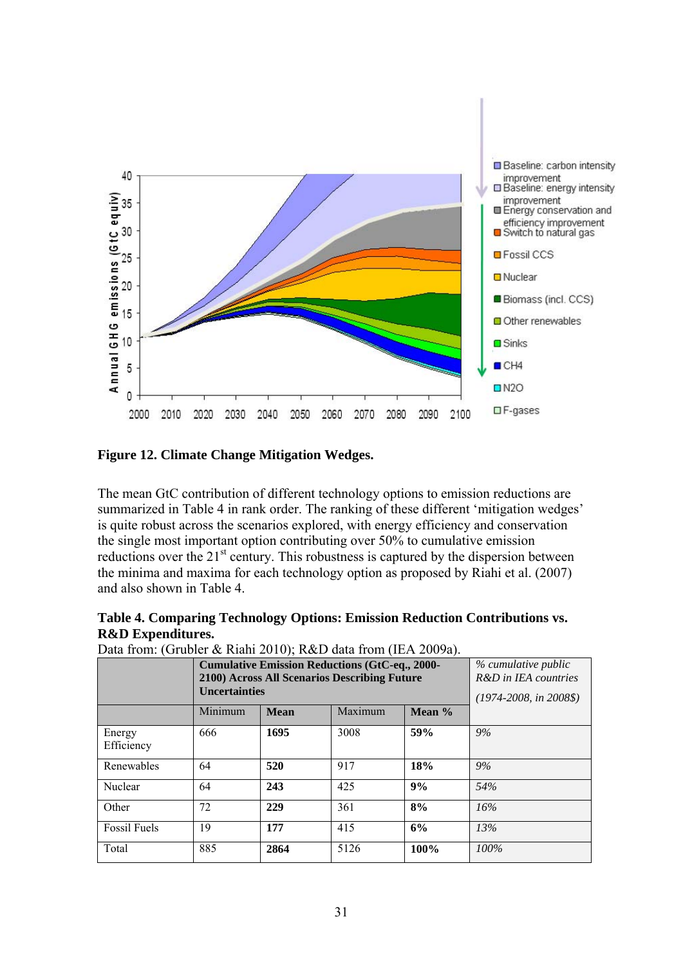

**Figure 12. Climate Change Mitigation Wedges.** 

The mean GtC contribution of different technology options to emission reductions are summarized in Table 4 in rank order. The ranking of these different 'mitigation wedges' is quite robust across the scenarios explored, with energy efficiency and conservation the single most important option contributing over 50% to cumulative emission reductions over the 21<sup>st</sup> century. This robustness is captured by the dispersion between the minima and maxima for each technology option as proposed by Riahi et al. (2007) and also shown in Table 4.

| Table 4. Comparing Technology Options: Emission Reduction Contributions vs. |  |  |  |
|-----------------------------------------------------------------------------|--|--|--|
| <b>R&amp;D</b> Expenditures.                                                |  |  |  |

|                      | <b>Cumulative Emission Reductions (GtC-eq., 2000-</b><br>2100) Across All Scenarios Describing Future<br><b>Uncertainties</b> | % cumulative public<br>R&D in IEA countries<br>$(1974 - 2008, in 2008\$ |         |      |      |
|----------------------|-------------------------------------------------------------------------------------------------------------------------------|-------------------------------------------------------------------------|---------|------|------|
|                      | Minimum                                                                                                                       | <b>Mean</b>                                                             | Maximum |      |      |
| Energy<br>Efficiency | 666                                                                                                                           | 1695                                                                    | 3008    | 59%  | 9%   |
| Renewables           | 64                                                                                                                            | 520                                                                     | 917     | 18%  | 9%   |
| Nuclear              | 64                                                                                                                            | 243                                                                     | 425     | 9%   | 54%  |
| Other                | 72                                                                                                                            | 229                                                                     | 361     | 8%   | 16%  |
| <b>Fossil Fuels</b>  | 19                                                                                                                            | 177                                                                     | 415     | 6%   | 13%  |
| Total                | 885                                                                                                                           | 2864                                                                    | 5126    | 100% | 100% |

Data from: (Grubler & Riahi 2010); R&D data from (IEA 2009a).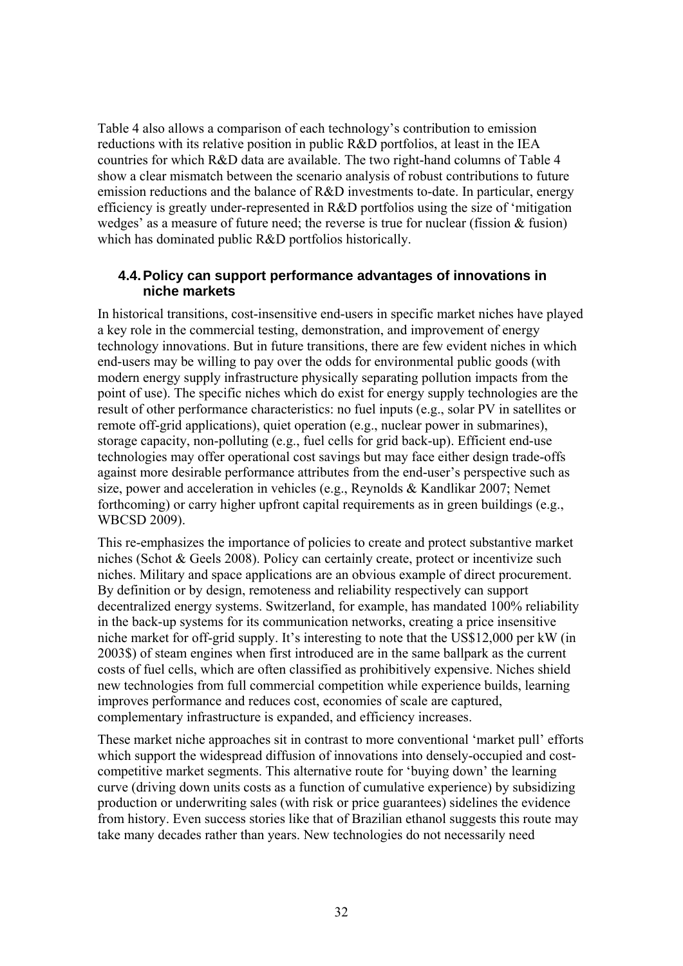Table 4 also allows a comparison of each technology's contribution to emission reductions with its relative position in public R&D portfolios, at least in the IEA countries for which R&D data are available. The two right-hand columns of Table 4 show a clear mismatch between the scenario analysis of robust contributions to future emission reductions and the balance of R&D investments to-date. In particular, energy efficiency is greatly under-represented in R&D portfolios using the size of 'mitigation wedges' as a measure of future need; the reverse is true for nuclear (fission & fusion) which has dominated public R&D portfolios historically.

### **4.4. Policy can support performance advantages of innovations in niche markets**

In historical transitions, cost-insensitive end-users in specific market niches have played a key role in the commercial testing, demonstration, and improvement of energy technology innovations. But in future transitions, there are few evident niches in which end-users may be willing to pay over the odds for environmental public goods (with modern energy supply infrastructure physically separating pollution impacts from the point of use). The specific niches which do exist for energy supply technologies are the result of other performance characteristics: no fuel inputs (e.g., solar PV in satellites or remote off-grid applications), quiet operation (e.g., nuclear power in submarines), storage capacity, non-polluting (e.g., fuel cells for grid back-up). Efficient end-use technologies may offer operational cost savings but may face either design trade-offs against more desirable performance attributes from the end-user's perspective such as size, power and acceleration in vehicles (e.g., Reynolds & Kandlikar 2007; Nemet forthcoming) or carry higher upfront capital requirements as in green buildings (e.g., WBCSD 2009).

This re-emphasizes the importance of policies to create and protect substantive market niches (Schot & Geels 2008). Policy can certainly create, protect or incentivize such niches. Military and space applications are an obvious example of direct procurement. By definition or by design, remoteness and reliability respectively can support decentralized energy systems. Switzerland, for example, has mandated 100% reliability in the back-up systems for its communication networks, creating a price insensitive niche market for off-grid supply. It's interesting to note that the US\$12,000 per kW (in 2003\$) of steam engines when first introduced are in the same ballpark as the current costs of fuel cells, which are often classified as prohibitively expensive. Niches shield new technologies from full commercial competition while experience builds, learning improves performance and reduces cost, economies of scale are captured, complementary infrastructure is expanded, and efficiency increases.

These market niche approaches sit in contrast to more conventional 'market pull' efforts which support the widespread diffusion of innovations into densely-occupied and costcompetitive market segments. This alternative route for 'buying down' the learning curve (driving down units costs as a function of cumulative experience) by subsidizing production or underwriting sales (with risk or price guarantees) sidelines the evidence from history. Even success stories like that of Brazilian ethanol suggests this route may take many decades rather than years. New technologies do not necessarily need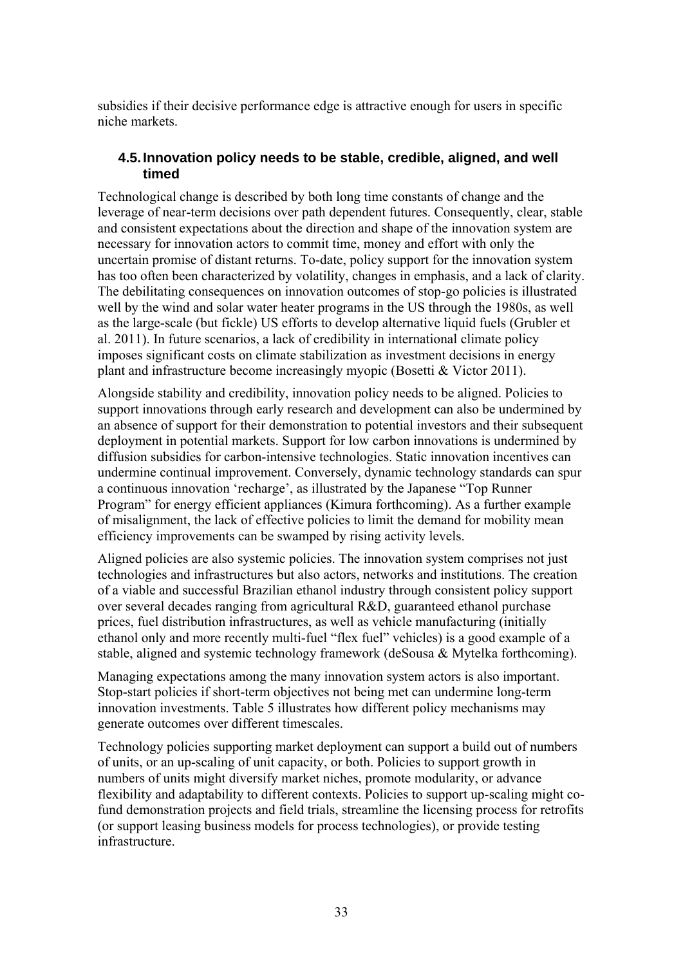subsidies if their decisive performance edge is attractive enough for users in specific niche markets.

# **4.5. Innovation policy needs to be stable, credible, aligned, and well timed**

Technological change is described by both long time constants of change and the leverage of near-term decisions over path dependent futures. Consequently, clear, stable and consistent expectations about the direction and shape of the innovation system are necessary for innovation actors to commit time, money and effort with only the uncertain promise of distant returns. To-date, policy support for the innovation system has too often been characterized by volatility, changes in emphasis, and a lack of clarity. The debilitating consequences on innovation outcomes of stop-go policies is illustrated well by the wind and solar water heater programs in the US through the 1980s, as well as the large-scale (but fickle) US efforts to develop alternative liquid fuels (Grubler et al. 2011). In future scenarios, a lack of credibility in international climate policy imposes significant costs on climate stabilization as investment decisions in energy plant and infrastructure become increasingly myopic (Bosetti & Victor 2011).

Alongside stability and credibility, innovation policy needs to be aligned. Policies to support innovations through early research and development can also be undermined by an absence of support for their demonstration to potential investors and their subsequent deployment in potential markets. Support for low carbon innovations is undermined by diffusion subsidies for carbon-intensive technologies. Static innovation incentives can undermine continual improvement. Conversely, dynamic technology standards can spur a continuous innovation 'recharge', as illustrated by the Japanese "Top Runner Program" for energy efficient appliances (Kimura forthcoming). As a further example of misalignment, the lack of effective policies to limit the demand for mobility mean efficiency improvements can be swamped by rising activity levels.

Aligned policies are also systemic policies. The innovation system comprises not just technologies and infrastructures but also actors, networks and institutions. The creation of a viable and successful Brazilian ethanol industry through consistent policy support over several decades ranging from agricultural R&D, guaranteed ethanol purchase prices, fuel distribution infrastructures, as well as vehicle manufacturing (initially ethanol only and more recently multi-fuel "flex fuel" vehicles) is a good example of a stable, aligned and systemic technology framework (deSousa & Mytelka forthcoming).

Managing expectations among the many innovation system actors is also important. Stop-start policies if short-term objectives not being met can undermine long-term innovation investments. Table 5 illustrates how different policy mechanisms may generate outcomes over different timescales.

Technology policies supporting market deployment can support a build out of numbers of units, or an up-scaling of unit capacity, or both. Policies to support growth in numbers of units might diversify market niches, promote modularity, or advance flexibility and adaptability to different contexts. Policies to support up-scaling might cofund demonstration projects and field trials, streamline the licensing process for retrofits (or support leasing business models for process technologies), or provide testing infrastructure.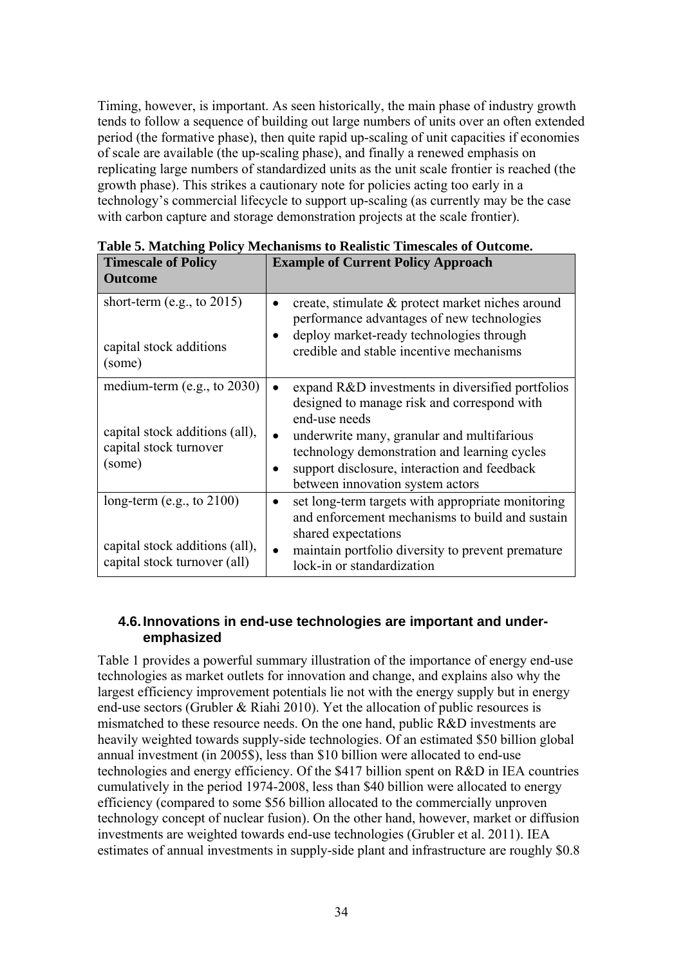Timing, however, is important. As seen historically, the main phase of industry growth tends to follow a sequence of building out large numbers of units over an often extended period (the formative phase), then quite rapid up-scaling of unit capacities if economies of scale are available (the up-scaling phase), and finally a renewed emphasis on replicating large numbers of standardized units as the unit scale frontier is reached (the growth phase). This strikes a cautionary note for policies acting too early in a technology's commercial lifecycle to support up-scaling (as currently may be the case with carbon capture and storage demonstration projects at the scale frontier).

| <b>Timescale of Policy</b>                                                                     | <b>Example of Current Policy Approach</b>                                                                                                                                                                      |
|------------------------------------------------------------------------------------------------|----------------------------------------------------------------------------------------------------------------------------------------------------------------------------------------------------------------|
| <b>Outcome</b>                                                                                 |                                                                                                                                                                                                                |
| short-term (e.g., to $2015$ )                                                                  | create, stimulate & protect market niches around<br>$\bullet$<br>performance advantages of new technologies                                                                                                    |
| capital stock additions<br>(some)                                                              | deploy market-ready technologies through<br>credible and stable incentive mechanisms                                                                                                                           |
| medium-term $(e.g., to 2030)$                                                                  | expand R&D investments in diversified portfolios<br>designed to manage risk and correspond with<br>end-use needs                                                                                               |
| capital stock additions (all),<br>capital stock turnover<br>(some)                             | underwrite many, granular and multifarious<br>technology demonstration and learning cycles<br>support disclosure, interaction and feedback<br>between innovation system actors                                 |
| long-term (e.g., to $2100$ )<br>capital stock additions (all),<br>capital stock turnover (all) | set long-term targets with appropriate monitoring<br>and enforcement mechanisms to build and sustain<br>shared expectations<br>maintain portfolio diversity to prevent premature<br>lock-in or standardization |

**Table 5. Matching Policy Mechanisms to Realistic Timescales of Outcome.** 

## **4.6. Innovations in end-use technologies are important and underemphasized**

Table 1 provides a powerful summary illustration of the importance of energy end-use technologies as market outlets for innovation and change, and explains also why the largest efficiency improvement potentials lie not with the energy supply but in energy end-use sectors (Grubler & Riahi 2010). Yet the allocation of public resources is mismatched to these resource needs. On the one hand, public R&D investments are heavily weighted towards supply-side technologies. Of an estimated \$50 billion global annual investment (in 2005\$), less than \$10 billion were allocated to end-use technologies and energy efficiency. Of the \$417 billion spent on R&D in IEA countries cumulatively in the period 1974-2008, less than \$40 billion were allocated to energy efficiency (compared to some \$56 billion allocated to the commercially unproven technology concept of nuclear fusion). On the other hand, however, market or diffusion investments are weighted towards end-use technologies (Grubler et al. 2011). IEA estimates of annual investments in supply-side plant and infrastructure are roughly \$0.8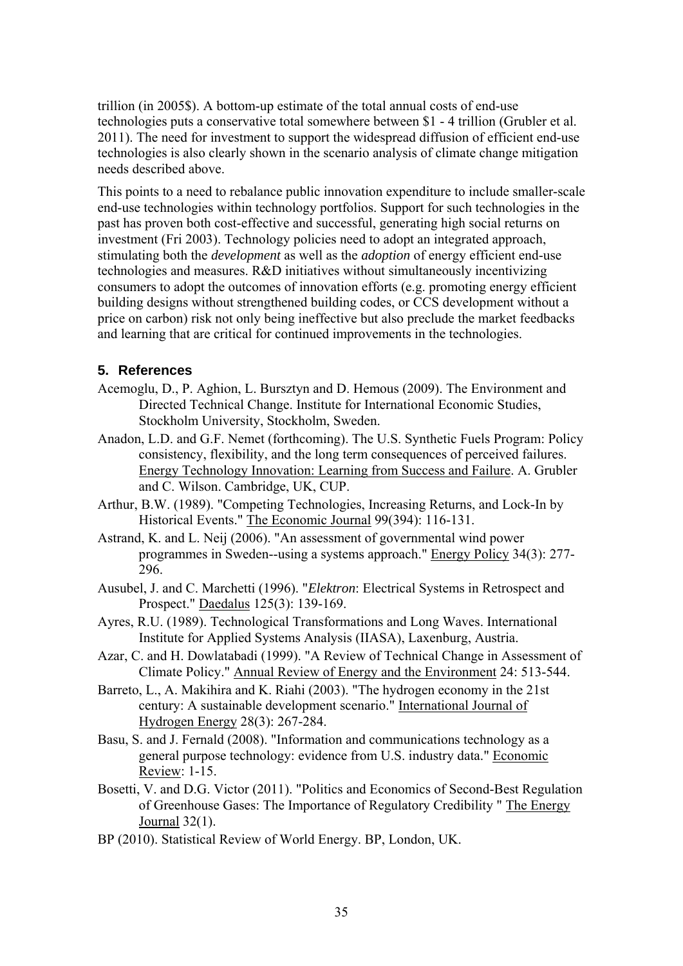trillion (in 2005\$). A bottom-up estimate of the total annual costs of end-use technologies puts a conservative total somewhere between \$1 - 4 trillion (Grubler et al. 2011). The need for investment to support the widespread diffusion of efficient end-use technologies is also clearly shown in the scenario analysis of climate change mitigation needs described above.

This points to a need to rebalance public innovation expenditure to include smaller-scale end-use technologies within technology portfolios. Support for such technologies in the past has proven both cost-effective and successful, generating high social returns on investment (Fri 2003). Technology policies need to adopt an integrated approach, stimulating both the *development* as well as the *adoption* of energy efficient end-use technologies and measures. R&D initiatives without simultaneously incentivizing consumers to adopt the outcomes of innovation efforts (e.g. promoting energy efficient building designs without strengthened building codes, or CCS development without a price on carbon) risk not only being ineffective but also preclude the market feedbacks and learning that are critical for continued improvements in the technologies.

# **5. References**

- Acemoglu, D., P. Aghion, L. Bursztyn and D. Hemous (2009). The Environment and Directed Technical Change. Institute for International Economic Studies, Stockholm University, Stockholm, Sweden.
- Anadon, L.D. and G.F. Nemet (forthcoming). The U.S. Synthetic Fuels Program: Policy consistency, flexibility, and the long term consequences of perceived failures. Energy Technology Innovation: Learning from Success and Failure. A. Grubler and C. Wilson. Cambridge, UK, CUP.
- Arthur, B.W. (1989). "Competing Technologies, Increasing Returns, and Lock-In by Historical Events." The Economic Journal 99(394): 116-131.
- Astrand, K. and L. Neij (2006). "An assessment of governmental wind power programmes in Sweden--using a systems approach." Energy Policy 34(3): 277- 296.
- Ausubel, J. and C. Marchetti (1996). "*Elektron*: Electrical Systems in Retrospect and Prospect." Daedalus 125(3): 139-169.
- Ayres, R.U. (1989). Technological Transformations and Long Waves. International Institute for Applied Systems Analysis (IIASA), Laxenburg, Austria.
- Azar, C. and H. Dowlatabadi (1999). "A Review of Technical Change in Assessment of Climate Policy." Annual Review of Energy and the Environment 24: 513-544.
- Barreto, L., A. Makihira and K. Riahi (2003). "The hydrogen economy in the 21st century: A sustainable development scenario." International Journal of Hydrogen Energy 28(3): 267-284.
- Basu, S. and J. Fernald (2008). "Information and communications technology as a general purpose technology: evidence from U.S. industry data." Economic Review: 1-15.
- Bosetti, V. and D.G. Victor (2011). "Politics and Economics of Second-Best Regulation of Greenhouse Gases: The Importance of Regulatory Credibility " The Energy Journal 32(1).
- BP (2010). Statistical Review of World Energy. BP, London, UK.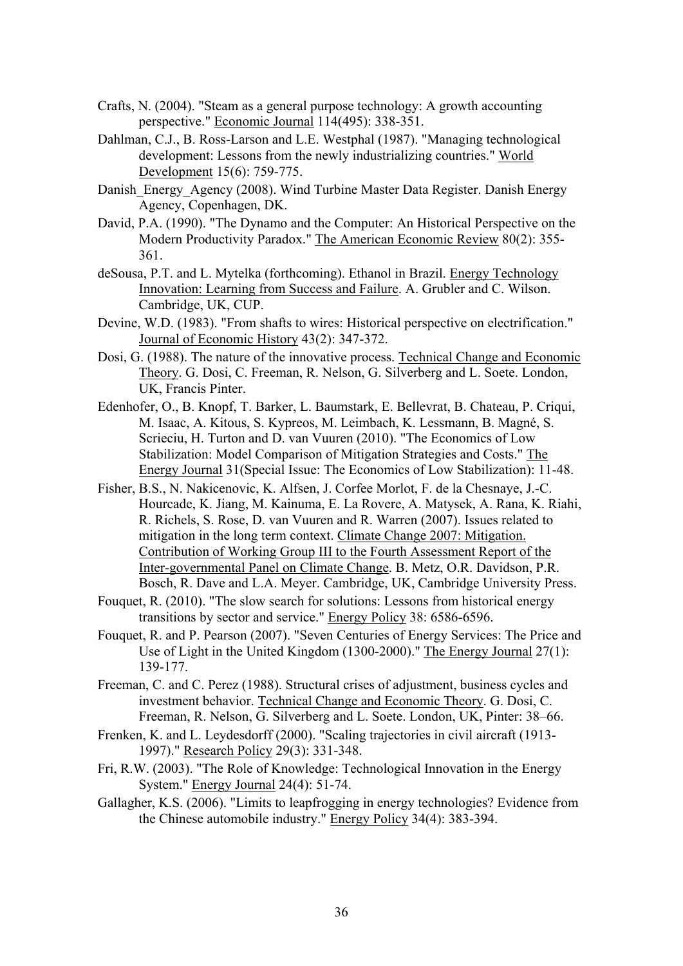- Crafts, N. (2004). "Steam as a general purpose technology: A growth accounting perspective." Economic Journal 114(495): 338-351.
- Dahlman, C.J., B. Ross-Larson and L.E. Westphal (1987). "Managing technological development: Lessons from the newly industrializing countries." World Development 15(6): 759-775.
- Danish Energy Agency (2008). Wind Turbine Master Data Register. Danish Energy Agency, Copenhagen, DK.
- David, P.A. (1990). "The Dynamo and the Computer: An Historical Perspective on the Modern Productivity Paradox." The American Economic Review 80(2): 355- 361.
- deSousa, P.T. and L. Mytelka (forthcoming). Ethanol in Brazil. Energy Technology Innovation: Learning from Success and Failure. A. Grubler and C. Wilson. Cambridge, UK, CUP.
- Devine, W.D. (1983). "From shafts to wires: Historical perspective on electrification." Journal of Economic History 43(2): 347-372.
- Dosi, G. (1988). The nature of the innovative process. Technical Change and Economic Theory. G. Dosi, C. Freeman, R. Nelson, G. Silverberg and L. Soete. London, UK, Francis Pinter.
- Edenhofer, O., B. Knopf, T. Barker, L. Baumstark, E. Bellevrat, B. Chateau, P. Criqui, M. Isaac, A. Kitous, S. Kypreos, M. Leimbach, K. Lessmann, B. Magné, S. Scrieciu, H. Turton and D. van Vuuren (2010). "The Economics of Low Stabilization: Model Comparison of Mitigation Strategies and Costs." The Energy Journal 31(Special Issue: The Economics of Low Stabilization): 11-48.
- Fisher, B.S., N. Nakicenovic, K. Alfsen, J. Corfee Morlot, F. de la Chesnaye, J.-C. Hourcade, K. Jiang, M. Kainuma, E. La Rovere, A. Matysek, A. Rana, K. Riahi, R. Richels, S. Rose, D. van Vuuren and R. Warren (2007). Issues related to mitigation in the long term context. Climate Change 2007: Mitigation. Contribution of Working Group III to the Fourth Assessment Report of the Inter-governmental Panel on Climate Change. B. Metz, O.R. Davidson, P.R. Bosch, R. Dave and L.A. Meyer. Cambridge, UK, Cambridge University Press.
- Fouquet, R. (2010). "The slow search for solutions: Lessons from historical energy transitions by sector and service." Energy Policy 38: 6586-6596.
- Fouquet, R. and P. Pearson (2007). "Seven Centuries of Energy Services: The Price and Use of Light in the United Kingdom (1300-2000)." The Energy Journal  $27(1)$ : 139-177.
- Freeman, C. and C. Perez (1988). Structural crises of adjustment, business cycles and investment behavior. Technical Change and Economic Theory. G. Dosi, C. Freeman, R. Nelson, G. Silverberg and L. Soete. London, UK, Pinter: 38–66.
- Frenken, K. and L. Leydesdorff (2000). "Scaling trajectories in civil aircraft (1913- 1997)." Research Policy 29(3): 331-348.
- Fri, R.W. (2003). "The Role of Knowledge: Technological Innovation in the Energy System." Energy Journal 24(4): 51-74.
- Gallagher, K.S. (2006). "Limits to leapfrogging in energy technologies? Evidence from the Chinese automobile industry." Energy Policy 34(4): 383-394.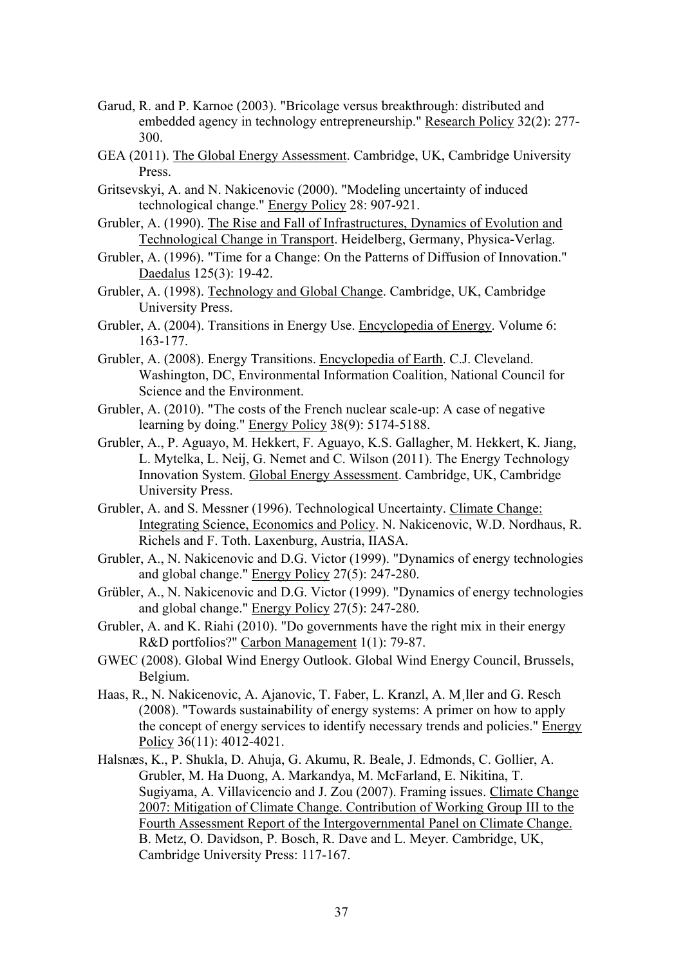- Garud, R. and P. Karnoe (2003). "Bricolage versus breakthrough: distributed and embedded agency in technology entrepreneurship." Research Policy 32(2): 277- 300.
- GEA (2011). The Global Energy Assessment. Cambridge, UK, Cambridge University Press.
- Gritsevskyi, A. and N. Nakicenovic (2000). "Modeling uncertainty of induced technological change." Energy Policy 28: 907-921.
- Grubler, A. (1990). The Rise and Fall of Infrastructures, Dynamics of Evolution and Technological Change in Transport. Heidelberg, Germany, Physica-Verlag.
- Grubler, A. (1996). "Time for a Change: On the Patterns of Diffusion of Innovation." Daedalus 125(3): 19-42.
- Grubler, A. (1998). Technology and Global Change. Cambridge, UK, Cambridge University Press.
- Grubler, A. (2004). Transitions in Energy Use. Encyclopedia of Energy. Volume 6: 163-177.
- Grubler, A. (2008). Energy Transitions. Encyclopedia of Earth. C.J. Cleveland. Washington, DC, Environmental Information Coalition, National Council for Science and the Environment.
- Grubler, A. (2010). "The costs of the French nuclear scale-up: A case of negative learning by doing." Energy Policy 38(9): 5174-5188.
- Grubler, A., P. Aguayo, M. Hekkert, F. Aguayo, K.S. Gallagher, M. Hekkert, K. Jiang, L. Mytelka, L. Neij, G. Nemet and C. Wilson (2011). The Energy Technology Innovation System. Global Energy Assessment. Cambridge, UK, Cambridge University Press.
- Grubler, A. and S. Messner (1996). Technological Uncertainty. Climate Change: Integrating Science, Economics and Policy. N. Nakicenovic, W.D. Nordhaus, R. Richels and F. Toth. Laxenburg, Austria, IIASA.
- Grubler, A., N. Nakicenovic and D.G. Victor (1999). "Dynamics of energy technologies and global change." Energy Policy 27(5): 247-280.
- Grübler, A., N. Nakicenovic and D.G. Victor (1999). "Dynamics of energy technologies and global change." Energy Policy 27(5): 247-280.
- Grubler, A. and K. Riahi (2010). "Do governments have the right mix in their energy R&D portfolios?" Carbon Management 1(1): 79-87.
- GWEC (2008). Global Wind Energy Outlook. Global Wind Energy Council, Brussels, Belgium.
- Haas, R., N. Nakicenovic, A. Ajanovic, T. Faber, L. Kranzl, A. M¸ller and G. Resch (2008). "Towards sustainability of energy systems: A primer on how to apply the concept of energy services to identify necessary trends and policies." Energy Policy 36(11): 4012-4021.
- Halsnæs, K., P. Shukla, D. Ahuja, G. Akumu, R. Beale, J. Edmonds, C. Gollier, A. Grubler, M. Ha Duong, A. Markandya, M. McFarland, E. Nikitina, T. Sugiyama, A. Villavicencio and J. Zou (2007). Framing issues. Climate Change 2007: Mitigation of Climate Change. Contribution of Working Group III to the Fourth Assessment Report of the Intergovernmental Panel on Climate Change. B. Metz, O. Davidson, P. Bosch, R. Dave and L. Meyer. Cambridge, UK, Cambridge University Press: 117-167.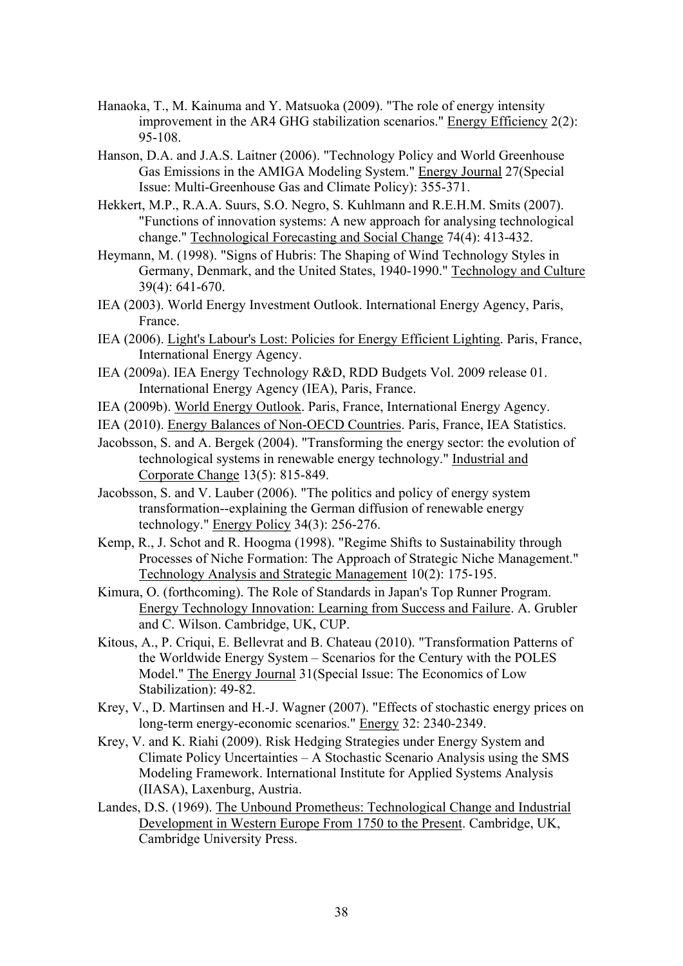- Hanaoka, T., M. Kainuma and Y. Matsuoka (2009). "The role of energy intensity improvement in the AR4 GHG stabilization scenarios." Energy Efficiency 2(2): 95-108.
- Hanson, D.A. and J.A.S. Laitner (2006). "Technology Policy and World Greenhouse Gas Emissions in the AMIGA Modeling System." Energy Journal 27(Special Issue: Multi-Greenhouse Gas and Climate Policy): 355-371.
- Hekkert, M.P., R.A.A. Suurs, S.O. Negro, S. Kuhlmann and R.E.H.M. Smits (2007). "Functions of innovation systems: A new approach for analysing technological change." Technological Forecasting and Social Change 74(4): 413-432.
- Heymann, M. (1998). "Signs of Hubris: The Shaping of Wind Technology Styles in Germany, Denmark, and the United States, 1940-1990." Technology and Culture 39(4): 641-670.
- IEA (2003). World Energy Investment Outlook. International Energy Agency, Paris, France.
- IEA (2006). Light's Labour's Lost: Policies for Energy Efficient Lighting. Paris, France, International Energy Agency.
- IEA (2009a). IEA Energy Technology R&D, RDD Budgets Vol. 2009 release 01. International Energy Agency (IEA), Paris, France.
- IEA (2009b). World Energy Outlook. Paris, France, International Energy Agency.
- IEA (2010). Energy Balances of Non-OECD Countries. Paris, France, IEA Statistics.
- Jacobsson, S. and A. Bergek (2004). "Transforming the energy sector: the evolution of technological systems in renewable energy technology." Industrial and Corporate Change 13(5): 815-849.
- Jacobsson, S. and V. Lauber (2006). "The politics and policy of energy system transformation--explaining the German diffusion of renewable energy technology." Energy Policy 34(3): 256-276.
- Kemp, R., J. Schot and R. Hoogma (1998). "Regime Shifts to Sustainability through Processes of Niche Formation: The Approach of Strategic Niche Management." Technology Analysis and Strategic Management 10(2): 175-195.
- Kimura, O. (forthcoming). The Role of Standards in Japan's Top Runner Program. Energy Technology Innovation: Learning from Success and Failure. A. Grubler and C. Wilson. Cambridge, UK, CUP.
- Kitous, A., P. Criqui, E. Bellevrat and B. Chateau (2010). "Transformation Patterns of the Worldwide Energy System – Scenarios for the Century with the POLES Model." The Energy Journal 31(Special Issue: The Economics of Low Stabilization): 49-82.
- Krey, V., D. Martinsen and H.-J. Wagner (2007). "Effects of stochastic energy prices on long-term energy-economic scenarios." Energy 32: 2340-2349.
- Krey, V. and K. Riahi (2009). Risk Hedging Strategies under Energy System and Climate Policy Uncertainties – A Stochastic Scenario Analysis using the SMS Modeling Framework. International Institute for Applied Systems Analysis (IIASA), Laxenburg, Austria.
- Landes, D.S. (1969). The Unbound Prometheus: Technological Change and Industrial Development in Western Europe From 1750 to the Present. Cambridge, UK, Cambridge University Press.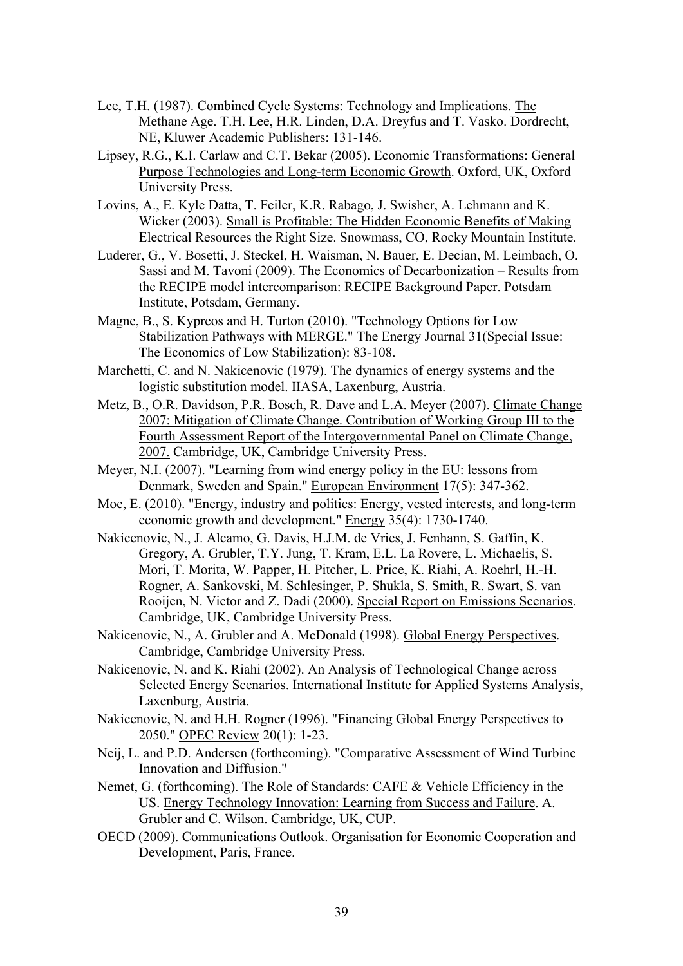- Lee, T.H. (1987). Combined Cycle Systems: Technology and Implications. The Methane Age. T.H. Lee, H.R. Linden, D.A. Dreyfus and T. Vasko. Dordrecht, NE, Kluwer Academic Publishers: 131-146.
- Lipsey, R.G., K.I. Carlaw and C.T. Bekar (2005). Economic Transformations: General Purpose Technologies and Long-term Economic Growth. Oxford, UK, Oxford University Press.
- Lovins, A., E. Kyle Datta, T. Feiler, K.R. Rabago, J. Swisher, A. Lehmann and K. Wicker (2003). Small is Profitable: The Hidden Economic Benefits of Making Electrical Resources the Right Size. Snowmass, CO, Rocky Mountain Institute.
- Luderer, G., V. Bosetti, J. Steckel, H. Waisman, N. Bauer, E. Decian, M. Leimbach, O. Sassi and M. Tavoni (2009). The Economics of Decarbonization – Results from the RECIPE model intercomparison: RECIPE Background Paper. Potsdam Institute, Potsdam, Germany.
- Magne, B., S. Kypreos and H. Turton (2010). "Technology Options for Low Stabilization Pathways with MERGE." The Energy Journal 31(Special Issue: The Economics of Low Stabilization): 83-108.
- Marchetti, C. and N. Nakicenovic (1979). The dynamics of energy systems and the logistic substitution model. IIASA, Laxenburg, Austria.
- Metz, B., O.R. Davidson, P.R. Bosch, R. Dave and L.A. Meyer (2007). Climate Change 2007: Mitigation of Climate Change. Contribution of Working Group III to the Fourth Assessment Report of the Intergovernmental Panel on Climate Change, 2007. Cambridge, UK, Cambridge University Press.
- Meyer, N.I. (2007). "Learning from wind energy policy in the EU: lessons from Denmark, Sweden and Spain." European Environment 17(5): 347-362.
- Moe, E. (2010). "Energy, industry and politics: Energy, vested interests, and long-term economic growth and development." Energy 35(4): 1730-1740.
- Nakicenovic, N., J. Alcamo, G. Davis, H.J.M. de Vries, J. Fenhann, S. Gaffin, K. Gregory, A. Grubler, T.Y. Jung, T. Kram, E.L. La Rovere, L. Michaelis, S. Mori, T. Morita, W. Papper, H. Pitcher, L. Price, K. Riahi, A. Roehrl, H.-H. Rogner, A. Sankovski, M. Schlesinger, P. Shukla, S. Smith, R. Swart, S. van Rooijen, N. Victor and Z. Dadi (2000). Special Report on Emissions Scenarios. Cambridge, UK, Cambridge University Press.
- Nakicenovic, N., A. Grubler and A. McDonald (1998). Global Energy Perspectives. Cambridge, Cambridge University Press.
- Nakicenovic, N. and K. Riahi (2002). An Analysis of Technological Change across Selected Energy Scenarios. International Institute for Applied Systems Analysis, Laxenburg, Austria.
- Nakicenovic, N. and H.H. Rogner (1996). "Financing Global Energy Perspectives to 2050." OPEC Review 20(1): 1-23.
- Neij, L. and P.D. Andersen (forthcoming). "Comparative Assessment of Wind Turbine Innovation and Diffusion."
- Nemet, G. (forthcoming). The Role of Standards: CAFE & Vehicle Efficiency in the US. Energy Technology Innovation: Learning from Success and Failure. A. Grubler and C. Wilson. Cambridge, UK, CUP.
- OECD (2009). Communications Outlook. Organisation for Economic Cooperation and Development, Paris, France.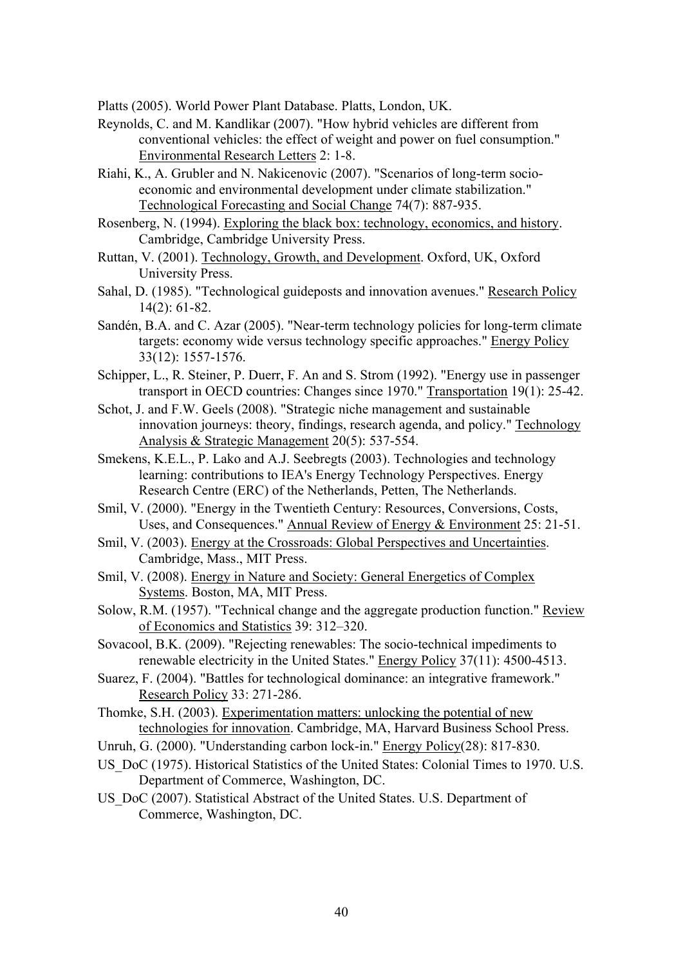Platts (2005). World Power Plant Database. Platts, London, UK.

- Reynolds, C. and M. Kandlikar (2007). "How hybrid vehicles are different from conventional vehicles: the effect of weight and power on fuel consumption." Environmental Research Letters 2: 1-8.
- Riahi, K., A. Grubler and N. Nakicenovic (2007). "Scenarios of long-term socioeconomic and environmental development under climate stabilization." Technological Forecasting and Social Change 74(7): 887-935.
- Rosenberg, N. (1994). Exploring the black box: technology, economics, and history. Cambridge, Cambridge University Press.
- Ruttan, V. (2001). Technology, Growth, and Development. Oxford, UK, Oxford University Press.
- Sahal, D. (1985). "Technological guideposts and innovation avenues." Research Policy 14(2): 61-82.
- Sandén, B.A. and C. Azar (2005). "Near-term technology policies for long-term climate targets: economy wide versus technology specific approaches." Energy Policy 33(12): 1557-1576.
- Schipper, L., R. Steiner, P. Duerr, F. An and S. Strom (1992). "Energy use in passenger transport in OECD countries: Changes since 1970." Transportation 19(1): 25-42.
- Schot, J. and F.W. Geels (2008). "Strategic niche management and sustainable innovation journeys: theory, findings, research agenda, and policy." Technology Analysis & Strategic Management 20(5): 537-554.
- Smekens, K.E.L., P. Lako and A.J. Seebregts (2003). Technologies and technology learning: contributions to IEA's Energy Technology Perspectives. Energy Research Centre (ERC) of the Netherlands, Petten, The Netherlands.
- Smil, V. (2000). "Energy in the Twentieth Century: Resources, Conversions, Costs, Uses, and Consequences." Annual Review of Energy & Environment 25: 21-51.
- Smil, V. (2003). Energy at the Crossroads: Global Perspectives and Uncertainties. Cambridge, Mass., MIT Press.
- Smil, V. (2008). Energy in Nature and Society: General Energetics of Complex Systems. Boston, MA, MIT Press.
- Solow, R.M. (1957). "Technical change and the aggregate production function." Review of Economics and Statistics 39: 312–320.
- Sovacool, B.K. (2009). "Rejecting renewables: The socio-technical impediments to renewable electricity in the United States." Energy Policy 37(11): 4500-4513.
- Suarez, F. (2004). "Battles for technological dominance: an integrative framework." Research Policy 33: 271-286.
- Thomke, S.H. (2003). Experimentation matters: unlocking the potential of new technologies for innovation. Cambridge, MA, Harvard Business School Press.
- Unruh, G. (2000). "Understanding carbon lock-in." Energy Policy(28): 817-830.
- US DoC (1975). Historical Statistics of the United States: Colonial Times to 1970. U.S. Department of Commerce, Washington, DC.
- US\_DoC (2007). Statistical Abstract of the United States. U.S. Department of Commerce, Washington, DC.